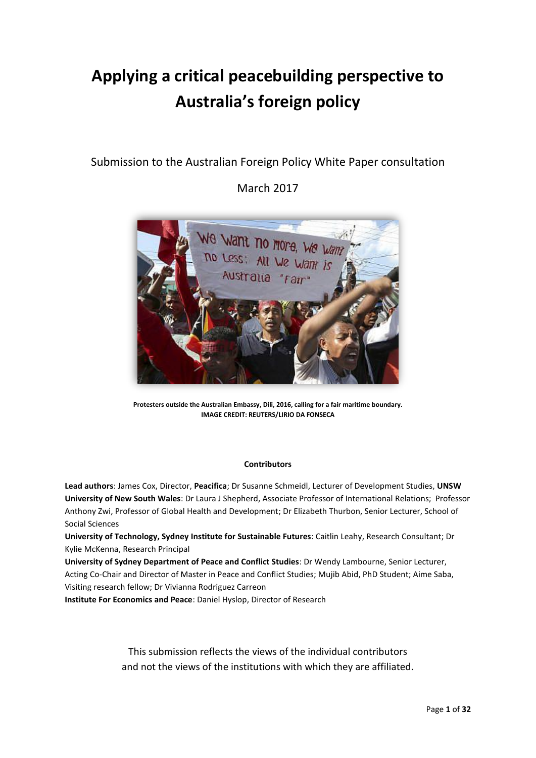# **Applying a critical peacebuilding perspective to Australia's foreign policy**

## Submission to the Australian Foreign Policy White Paper consultation

## March 2017



**Protesters outside the Australian Embassy, Dili, 2016, calling for a fair maritime boundary. IMAGE CREDIT: REUTERS/LIRIO DA FONSECA**

#### **Contributors**

**Lead authors**: James Cox, Director, **Peacifica**; Dr Susanne Schmeidl, Lecturer of Development Studies, **UNSW University of New South Wales**: Dr Laura J Shepherd, Associate Professor of International Relations; Professor Anthony Zwi, Professor of Global Health and Development; Dr Elizabeth Thurbon, Senior Lecturer, School of Social Sciences

**University of Technology, Sydney Institute for Sustainable Futures**: Caitlin Leahy, Research Consultant; Dr Kylie McKenna, Research Principal

**University of Sydney Department of Peace and Conflict Studies**: Dr Wendy Lambourne, Senior Lecturer, Acting Co-Chair and Director of Master in Peace and Conflict Studies; Mujib Abid, PhD Student; Aime Saba, Visiting research fellow; Dr Vivianna Rodriguez Carreon

**Institute For Economics and Peace**: Daniel Hyslop, Director of Research

This submission reflects the views of the individual contributors and not the views of the institutions with which they are affiliated.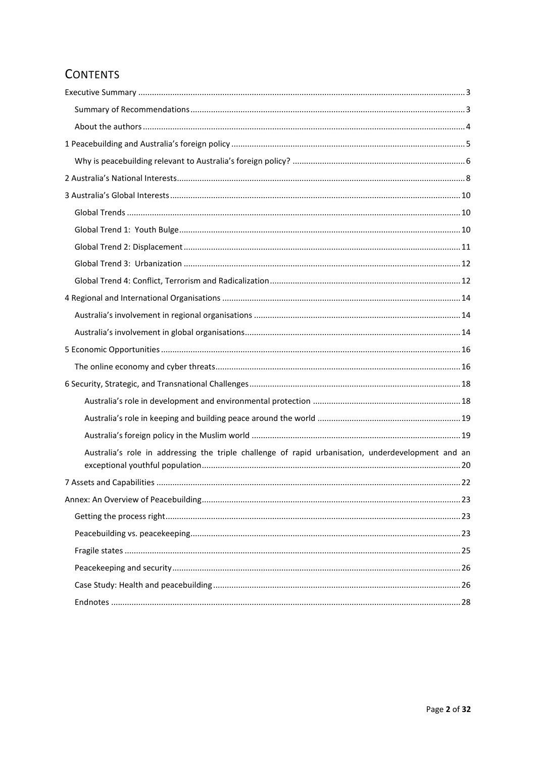## **CONTENTS**

| Australia's role in addressing the triple challenge of rapid urbanisation, underdevelopment and an |  |
|----------------------------------------------------------------------------------------------------|--|
|                                                                                                    |  |
|                                                                                                    |  |
|                                                                                                    |  |
|                                                                                                    |  |
|                                                                                                    |  |
|                                                                                                    |  |
|                                                                                                    |  |
|                                                                                                    |  |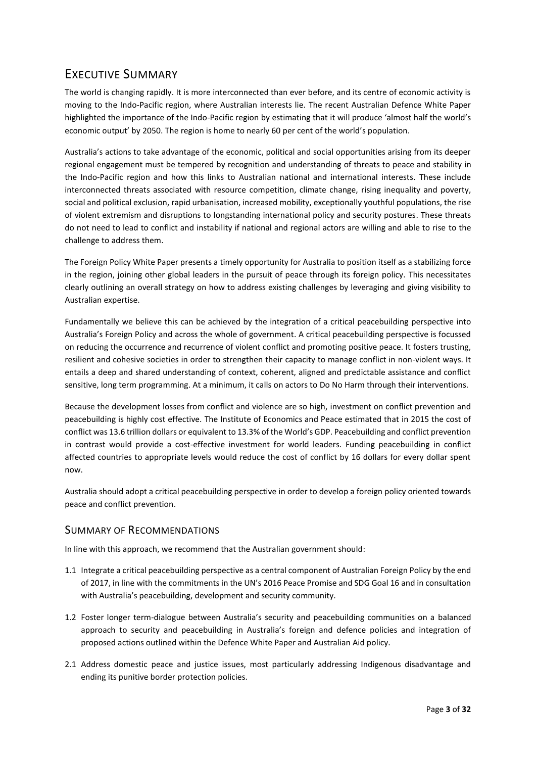## <span id="page-2-0"></span>EXECUTIVE SUMMARY

The world is changing rapidly. It is more interconnected than ever before, and its centre of economic activity is moving to the Indo-Pacific region, where Australian interests lie. The recent Australian Defence White Paper highlighted the importance of the Indo-Pacific region by estimating that it will produce 'almost half the world's economic output' by 2050. The region is home to nearly 60 per cent of the world's population.

Australia's actions to take advantage of the economic, political and social opportunities arising from its deeper regional engagement must be tempered by recognition and understanding of threats to peace and stability in the Indo-Pacific region and how this links to Australian national and international interests. These include interconnected threats associated with resource competition, climate change, rising inequality and poverty, social and political exclusion, rapid urbanisation, increased mobility, exceptionally youthful populations, the rise of violent extremism and disruptions to longstanding international policy and security postures. These threats do not need to lead to conflict and instability if national and regional actors are willing and able to rise to the challenge to address them.

The Foreign Policy White Paper presents a timely opportunity for Australia to position itself as a stabilizing force in the region, joining other global leaders in the pursuit of peace through its foreign policy. This necessitates clearly outlining an overall strategy on how to address existing challenges by leveraging and giving visibility to Australian expertise.

Fundamentally we believe this can be achieved by the integration of a critical peacebuilding perspective into Australia's Foreign Policy and across the whole of government. A critical peacebuilding perspective is focussed on reducing the occurrence and recurrence of violent conflict and promoting positive peace. It fosters trusting, resilient and cohesive societies in order to strengthen their capacity to manage conflict in non-violent ways. It entails a deep and shared understanding of context, coherent, aligned and predictable assistance and conflict sensitive, long term programming. At a minimum, it calls on actors to Do No Harm through their interventions.

Because the development losses from conflict and violence are so high, investment on conflict prevention and peacebuilding is highly cost effective. The Institute of Economics and Peace estimated that in 2015 the cost of conflict was 13.6 trillion dollars or equivalent to 13.3% of the World's GDP. Peacebuilding and conflict prevention in contrast would provide a cost-effective investment for world leaders. Funding peacebuilding in conflict affected countries to appropriate levels would reduce the cost of conflict by 16 dollars for every dollar spent now.

Australia should adopt a critical peacebuilding perspective in order to develop a foreign policy oriented towards peace and conflict prevention.

### <span id="page-2-1"></span>SUMMARY OF RECOMMENDATIONS

In line with this approach, we recommend that the Australian government should:

- 1.1 Integrate a critical peacebuilding perspective as a central component of Australian Foreign Policy by the end of 2017, in line with the commitments in the UN's 2016 Peace Promise and SDG Goal 16 and in consultation with Australia's peacebuilding, development and security community.
- 1.2 Foster longer term-dialogue between Australia's security and peacebuilding communities on a balanced approach to security and peacebuilding in Australia's foreign and defence policies and integration of proposed actions outlined within the Defence White Paper and Australian Aid policy.
- 2.1 Address domestic peace and justice issues, most particularly addressing Indigenous disadvantage and ending its punitive border protection policies.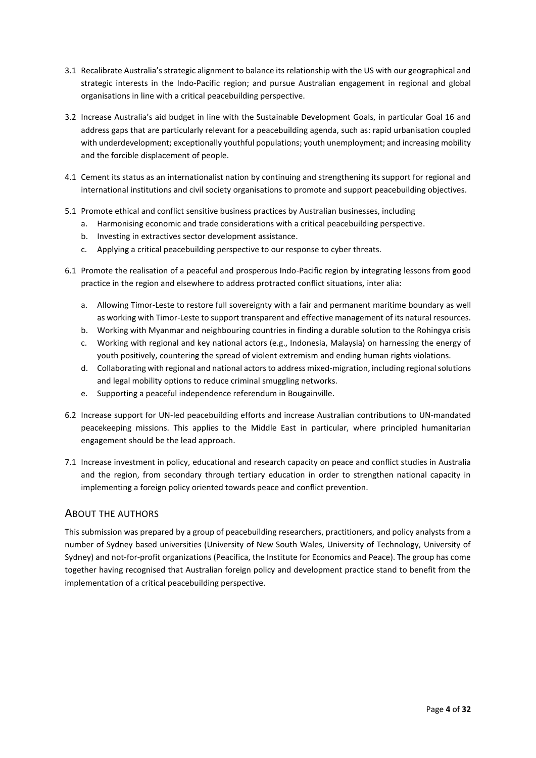- 3.1 Recalibrate Australia's strategic alignment to balance its relationship with the US with our geographical and strategic interests in the Indo-Pacific region; and pursue Australian engagement in regional and global organisations in line with a critical peacebuilding perspective.
- 3.2 Increase Australia's aid budget in line with the Sustainable Development Goals, in particular Goal 16 and address gaps that are particularly relevant for a peacebuilding agenda, such as: rapid urbanisation coupled with underdevelopment; exceptionally youthful populations; youth unemployment; and increasing mobility and the forcible displacement of people.
- 4.1 Cement its status as an internationalist nation by continuing and strengthening its support for regional and international institutions and civil society organisations to promote and support peacebuilding objectives.
- 5.1 Promote ethical and conflict sensitive business practices by Australian businesses, including
	- a. Harmonising economic and trade considerations with a critical peacebuilding perspective.
	- b. Investing in extractives sector development assistance.
	- c. Applying a critical peacebuilding perspective to our response to cyber threats.
- 6.1 Promote the realisation of a peaceful and prosperous Indo-Pacific region by integrating lessons from good practice in the region and elsewhere to address protracted conflict situations, inter alia:
	- a. Allowing Timor-Leste to restore full sovereignty with a fair and permanent maritime boundary as well as working with Timor-Leste to support transparent and effective management of its natural resources.
	- b. Working with Myanmar and neighbouring countries in finding a durable solution to the Rohingya crisis
	- c. Working with regional and key national actors (e.g., Indonesia, Malaysia) on harnessing the energy of youth positively, countering the spread of violent extremism and ending human rights violations.
	- d. Collaborating with regional and national actors to address mixed-migration, including regional solutions and legal mobility options to reduce criminal smuggling networks.
	- e. Supporting a peaceful independence referendum in Bougainville.
- 6.2 Increase support for UN-led peacebuilding efforts and increase Australian contributions to UN-mandated peacekeeping missions. This applies to the Middle East in particular, where principled humanitarian engagement should be the lead approach.
- 7.1 Increase investment in policy, educational and research capacity on peace and conflict studies in Australia and the region, from secondary through tertiary education in order to strengthen national capacity in implementing a foreign policy oriented towards peace and conflict prevention.

### <span id="page-3-0"></span>ABOUT THE AUTHORS

This submission was prepared by a group of peacebuilding researchers, practitioners, and policy analysts from a number of Sydney based universities (University of New South Wales, University of Technology, University of Sydney) and not-for-profit organizations (Peacifica, the Institute for Economics and Peace). The group has come together having recognised that Australian foreign policy and development practice stand to benefit from the implementation of a critical peacebuilding perspective.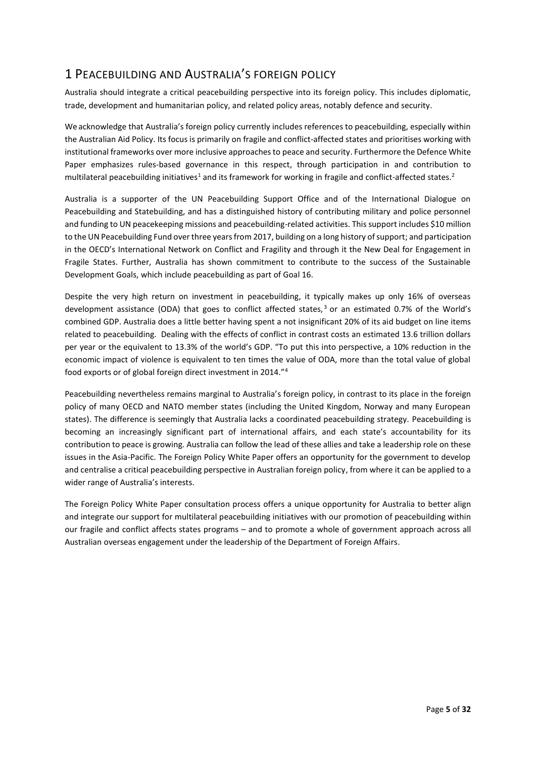## <span id="page-4-0"></span>1 PEACEBUILDING AND AUSTRALIA'S FOREIGN POLICY

Australia should integrate a critical peacebuilding perspective into its foreign policy. This includes diplomatic, trade, development and humanitarian policy, and related policy areas, notably defence and security.

We acknowledge that Australia's foreign policy currently includes references to peacebuilding, especially within the Australian Aid Policy. Its focus is primarily on fragile and conflict-affected states and prioritises working with institutional frameworks over more inclusive approaches to peace and security. Furthermore the Defence White Paper emphasizes rules-based governance in this respect, through participation in and contribution to multilateral peacebuilding initiatives<sup>1</sup> and its framework for working in fragile and conflict-affected states.<sup>2</sup>

Australia is a supporter of the UN Peacebuilding Support Office and of the International Dialogue on Peacebuilding and Statebuilding, and has a distinguished history of contributing military and police personnel and funding to UN peacekeeping missions and peacebuilding-related activities. This support includes \$10 million to the UN Peacebuilding Fund over three years from 2017, building on a long history of support; and participation in the OECD's International Network on Conflict and Fragility and through it the New Deal for Engagement in Fragile States. Further, Australia has shown commitment to contribute to the success of the Sustainable Development Goals, which include peacebuilding as part of Goal 16.

Despite the very high return on investment in peacebuilding, it typically makes up only 16% of overseas development assistance (ODA) that goes to conflict affected states,<sup>3</sup> or an estimated 0.7% of the World's combined GDP. Australia does a little better having spent a not insignificant 20% of its aid budget on line items related to peacebuilding. Dealing with the effects of conflict in contrast costs an estimated 13.6 trillion dollars per year or the equivalent to 13.3% of the world's GDP. "To put this into perspective, a 10% reduction in the economic impact of violence is equivalent to ten times the value of ODA, more than the total value of global food exports or of global foreign direct investment in 2014."<sup>4</sup>

Peacebuilding nevertheless remains marginal to Australia's foreign policy, in contrast to its place in the foreign policy of many OECD and NATO member states (including the United Kingdom, Norway and many European states). The difference is seemingly that Australia lacks a coordinated peacebuilding strategy. Peacebuilding is becoming an increasingly significant part of international affairs, and each state's accountability for its contribution to peace is growing. Australia can follow the lead of these allies and take a leadership role on these issues in the Asia-Pacific. The Foreign Policy White Paper offers an opportunity for the government to develop and centralise a critical peacebuilding perspective in Australian foreign policy, from where it can be applied to a wider range of Australia's interests.

The Foreign Policy White Paper consultation process offers a unique opportunity for Australia to better align and integrate our support for multilateral peacebuilding initiatives with our promotion of peacebuilding within our fragile and conflict affects states programs – and to promote a whole of government approach across all Australian overseas engagement under the leadership of the Department of Foreign Affairs.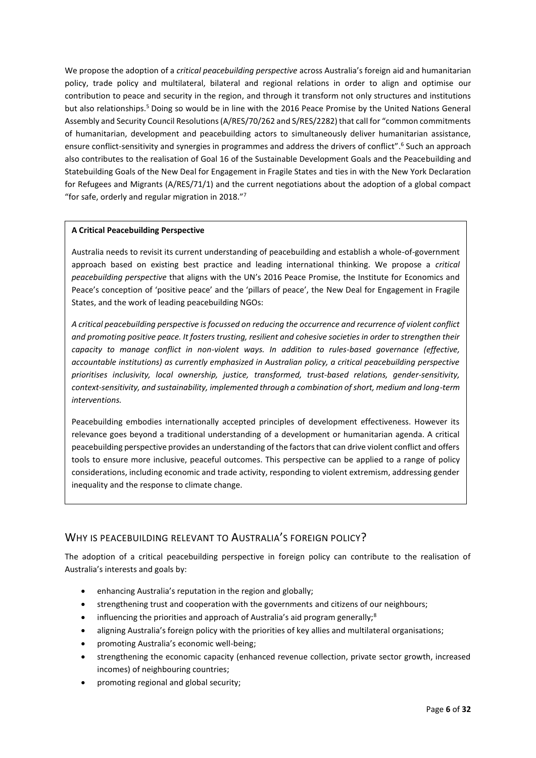We propose the adoption of a *critical peacebuilding perspective* across Australia's foreign aid and humanitarian policy, trade policy and multilateral, bilateral and regional relations in order to align and optimise our contribution to peace and security in the region, and through it transform not only structures and institutions but also relationships.<sup>5</sup> Doing so would be in line with the 2016 Peace Promise by the United Nations General Assembly and Security Council Resolutions (A/RES/70/262 and S/RES/2282) that call for "common commitments of humanitarian, development and peacebuilding actors to simultaneously deliver humanitarian assistance, ensure conflict-sensitivity and synergies in programmes and address the drivers of conflict". 6 Such an approach also contributes to the realisation of Goal 16 of the Sustainable Development Goals and the Peacebuilding and Statebuilding Goals of the New Deal for Engagement in Fragile States and ties in with the New York Declaration for Refugees and Migrants (A/RES/71/1) and the current negotiations about the adoption of a global compact "for safe, orderly and regular migration in 2018."<sup>7</sup>

#### **A Critical Peacebuilding Perspective**

Australia needs to revisit its current understanding of peacebuilding and establish a whole-of-government approach based on existing best practice and leading international thinking. We propose a *critical peacebuilding perspective* that aligns with the UN's 2016 Peace Promise, the Institute for Economics and Peace's conception of 'positive peace' and the 'pillars of peace', the New Deal for Engagement in Fragile States, and the work of leading peacebuilding NGOs:

*A critical peacebuilding perspective is focussed on reducing the occurrence and recurrence of violent conflict and promoting positive peace. It fosters trusting, resilient and cohesive societies in order to strengthen their capacity to manage conflict in non-violent ways. In addition to rules-based governance (effective, accountable institutions) as currently emphasized in Australian policy, a critical peacebuilding perspective prioritises inclusivity, local ownership, justice, transformed, trust-based relations, gender-sensitivity, context-sensitivity, and sustainability, implemented through a combination of short, medium and long-term interventions.* 

Peacebuilding embodies internationally accepted principles of development effectiveness. However its relevance goes beyond a traditional understanding of a development or humanitarian agenda. A critical peacebuilding perspective provides an understanding of the factors that can drive violent conflict and offers tools to ensure more inclusive, peaceful outcomes. This perspective can be applied to a range of policy considerations, including economic and trade activity, responding to violent extremism, addressing gender inequality and the response to climate change.

## <span id="page-5-0"></span>WHY IS PEACEBUILDING RELEVANT TO AUSTRALIA'S FOREIGN POLICY?

The adoption of a critical peacebuilding perspective in foreign policy can contribute to the realisation of Australia's interests and goals by:

- enhancing Australia's reputation in the region and globally;
- strengthening trust and cooperation with the governments and citizens of our neighbours;
- $\bullet$  influencing the priorities and approach of Australia's aid program generally;<sup>8</sup>
- aligning Australia's foreign policy with the priorities of key allies and multilateral organisations;
- promoting Australia's economic well-being;
- strengthening the economic capacity (enhanced revenue collection, private sector growth, increased incomes) of neighbouring countries;
- promoting regional and global security;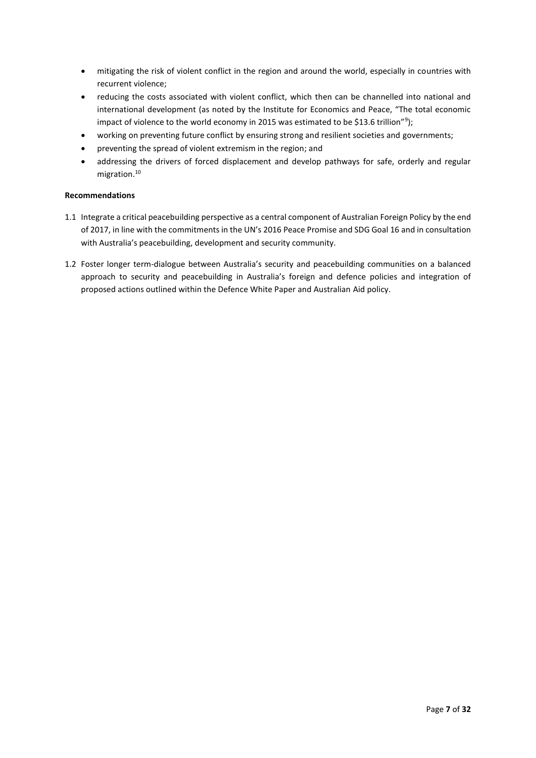- mitigating the risk of violent conflict in the region and around the world, especially in countries with recurrent violence;
- reducing the costs associated with violent conflict, which then can be channelled into national and international development (as noted by the Institute for Economics and Peace, "The total economic impact of violence to the world economy in 2015 was estimated to be \$13.6 trillion"<sup>9</sup>);
- working on preventing future conflict by ensuring strong and resilient societies and governments;
- preventing the spread of violent extremism in the region; and
- addressing the drivers of forced displacement and develop pathways for safe, orderly and regular migration.<sup>10</sup>

#### **Recommendations**

- 1.1 Integrate a critical peacebuilding perspective as a central component of Australian Foreign Policy by the end of 2017, in line with the commitments in the UN's 2016 Peace Promise and SDG Goal 16 and in consultation with Australia's peacebuilding, development and security community.
- 1.2 Foster longer term-dialogue between Australia's security and peacebuilding communities on a balanced approach to security and peacebuilding in Australia's foreign and defence policies and integration of proposed actions outlined within the Defence White Paper and Australian Aid policy.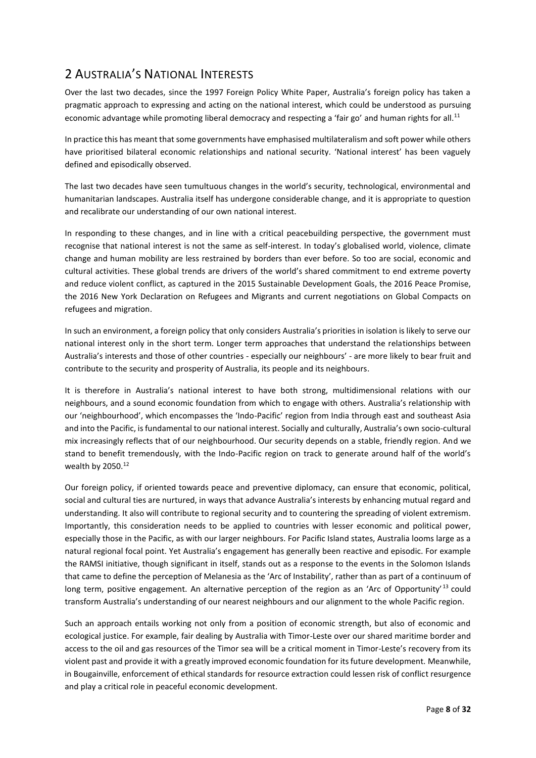## <span id="page-7-0"></span>2 AUSTRALIA'S NATIONAL INTERESTS

Over the last two decades, since the 1997 Foreign Policy White Paper, Australia's foreign policy has taken a pragmatic approach to expressing and acting on the national interest, which could be understood as pursuing economic advantage while promoting liberal democracy and respecting a 'fair go' and human rights for all.<sup>11</sup>

In practice this has meant that some governments have emphasised multilateralism and soft power while others have prioritised bilateral economic relationships and national security. 'National interest' has been vaguely defined and episodically observed.

The last two decades have seen tumultuous changes in the world's security, technological, environmental and humanitarian landscapes. Australia itself has undergone considerable change, and it is appropriate to question and recalibrate our understanding of our own national interest.

In responding to these changes, and in line with a critical peacebuilding perspective, the government must recognise that national interest is not the same as self-interest. In today's globalised world, violence, climate change and human mobility are less restrained by borders than ever before. So too are social, economic and cultural activities. These global trends are drivers of the world's shared commitment to end extreme poverty and reduce violent conflict, as captured in the 2015 Sustainable Development Goals, the 2016 Peace Promise, the 2016 New York Declaration on Refugees and Migrants and current negotiations on Global Compacts on refugees and migration.

In such an environment, a foreign policy that only considers Australia's priorities in isolation is likely to serve our national interest only in the short term. Longer term approaches that understand the relationships between Australia's interests and those of other countries - especially our neighbours' - are more likely to bear fruit and contribute to the security and prosperity of Australia, its people and its neighbours.

It is therefore in Australia's national interest to have both strong, multidimensional relations with our neighbours, and a sound economic foundation from which to engage with others. Australia's relationship with our 'neighbourhood', which encompasses the 'Indo-Pacific' region from India through east and southeast Asia and into the Pacific, is fundamental to our national interest. Socially and culturally, Australia's own socio-cultural mix increasingly reflects that of our neighbourhood. Our security depends on a stable, friendly region. And we stand to benefit tremendously, with the Indo-Pacific region on track to generate around half of the world's wealth by 2050.<sup>12</sup>

Our foreign policy, if oriented towards peace and preventive diplomacy, can ensure that economic, political, social and cultural ties are nurtured, in ways that advance Australia's interests by enhancing mutual regard and understanding. It also will contribute to regional security and to countering the spreading of violent extremism. Importantly, this consideration needs to be applied to countries with lesser economic and political power, especially those in the Pacific, as with our larger neighbours. For Pacific Island states, Australia looms large as a natural regional focal point. Yet Australia's engagement has generally been reactive and episodic. For example the RAMSI initiative, though significant in itself, stands out as a response to the events in the Solomon Islands that came to define the perception of Melanesia as the 'Arc of Instability', rather than as part of a continuum of long term, positive engagement. An alternative perception of the region as an 'Arc of Opportunity'  $^{13}$  could transform Australia's understanding of our nearest neighbours and our alignment to the whole Pacific region.

Such an approach entails working not only from a position of economic strength, but also of economic and ecological justice. For example, fair dealing by Australia with Timor-Leste over our shared maritime border and access to the oil and gas resources of the Timor sea will be a critical moment in Timor-Leste's recovery from its violent past and provide it with a greatly improved economic foundation for its future development. Meanwhile, in Bougainville, enforcement of ethical standards for resource extraction could lessen risk of conflict resurgence and play a critical role in peaceful economic development.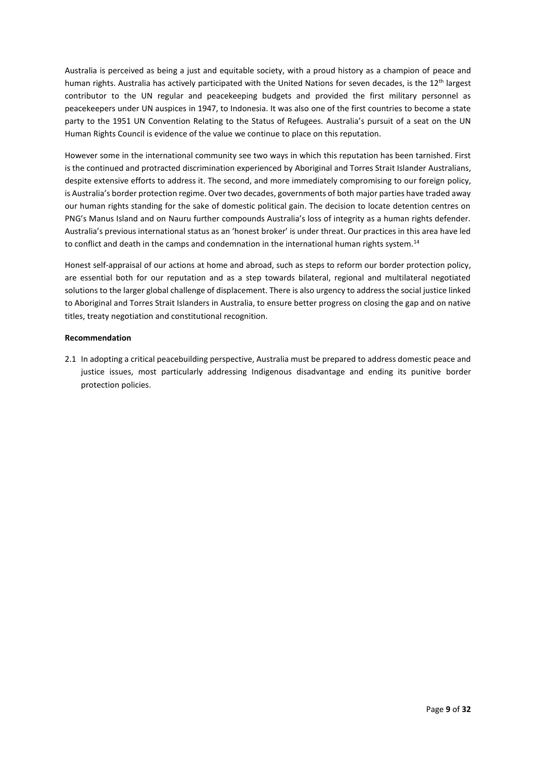Australia is perceived as being a just and equitable society, with a proud history as a champion of peace and human rights. Australia has actively participated with the United Nations for seven decades, is the 12<sup>th</sup> largest contributor to the UN regular and peacekeeping budgets and provided the first military personnel as peacekeepers under UN auspices in 1947, to Indonesia. It was also one of the first countries to become a state party to the 1951 UN Convention Relating to the Status of Refugees. Australia's pursuit of a seat on the UN Human Rights Council is evidence of the value we continue to place on this reputation.

However some in the international community see two ways in which this reputation has been tarnished. First is the continued and protracted discrimination experienced by Aboriginal and Torres Strait Islander Australians, despite extensive efforts to address it. The second, and more immediately compromising to our foreign policy, is Australia's border protection regime. Over two decades, governments of both major parties have traded away our human rights standing for the sake of domestic political gain. The decision to locate detention centres on PNG's Manus Island and on Nauru further compounds Australia's loss of integrity as a human rights defender. Australia's previous international status as an 'honest broker' is under threat. Our practices in this area have led to conflict and death in the camps and condemnation in the international human rights system.<sup>14</sup>

Honest self-appraisal of our actions at home and abroad, such as steps to reform our border protection policy, are essential both for our reputation and as a step towards bilateral, regional and multilateral negotiated solutions to the larger global challenge of displacement. There is also urgency to address the social justice linked to Aboriginal and Torres Strait Islanders in Australia, to ensure better progress on closing the gap and on native titles, treaty negotiation and constitutional recognition.

#### **Recommendation**

2.1 In adopting a critical peacebuilding perspective, Australia must be prepared to address domestic peace and justice issues, most particularly addressing Indigenous disadvantage and ending its punitive border protection policies.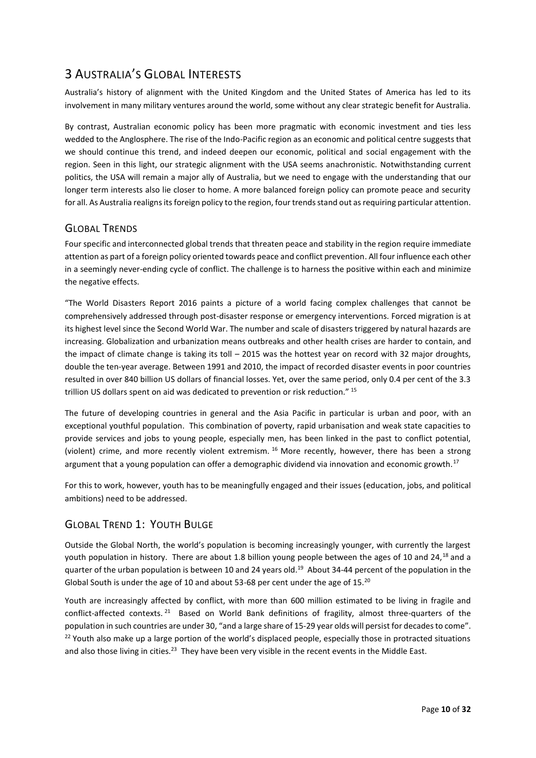## <span id="page-9-0"></span>3 AUSTRALIA'S GLOBAL INTERESTS

Australia's history of alignment with the United Kingdom and the United States of America has led to its involvement in many military ventures around the world, some without any clear strategic benefit for Australia.

By contrast, Australian economic policy has been more pragmatic with economic investment and ties less wedded to the Anglosphere. The rise of the Indo-Pacific region as an economic and political centre suggests that we should continue this trend, and indeed deepen our economic, political and social engagement with the region. Seen in this light, our strategic alignment with the USA seems anachronistic. Notwithstanding current politics, the USA will remain a major ally of Australia, but we need to engage with the understanding that our longer term interests also lie closer to home. A more balanced foreign policy can promote peace and security for all. As Australia realigns its foreign policy to the region, four trends stand out as requiring particular attention.

## <span id="page-9-1"></span>GLOBAL TRENDS

Four specific and interconnected global trends that threaten peace and stability in the region require immediate attention as part of a foreign policy oriented towards peace and conflict prevention. All four influence each other in a seemingly never-ending cycle of conflict. The challenge is to harness the positive within each and minimize the negative effects.

"The World Disasters Report 2016 paints a picture of a world facing complex challenges that cannot be comprehensively addressed through post-disaster response or emergency interventions. Forced migration is at its highest level since the Second World War. The number and scale of disasters triggered by natural hazards are increasing. Globalization and urbanization means outbreaks and other health crises are harder to contain, and the impact of climate change is taking its toll – 2015 was the hottest year on record with 32 major droughts, double the ten-year average. Between 1991 and 2010, the impact of recorded disaster events in poor countries resulted in over 840 billion US dollars of financial losses. Yet, over the same period, only 0.4 per cent of the 3.3 trillion US dollars spent on aid was dedicated to prevention or risk reduction." <sup>15</sup>

The future of developing countries in general and the Asia Pacific in particular is urban and poor, with an exceptional youthful population. This combination of poverty, rapid urbanisation and weak state capacities to provide services and jobs to young people, especially men, has been linked in the past to conflict potential, (violent) crime, and more recently violent extremism. <sup>16</sup> More recently, however, there has been a strong argument that a young population can offer a demographic dividend via innovation and economic growth.<sup>17</sup>

For this to work, however, youth has to be meaningfully engaged and their issues (education, jobs, and political ambitions) need to be addressed.

## <span id="page-9-2"></span>GLOBAL TREND 1: YOUTH BULGE

Outside the Global North, the world's population is becoming increasingly younger, with currently the largest youth population in history. There are about 1.8 billion young people between the ages of 10 and 24,<sup>18</sup> and a quarter of the urban population is between 10 and 24 years old.<sup>19</sup> About 34-44 percent of the population in the Global South is under the age of 10 and about 53-68 per cent under the age of 15.<sup>20</sup>

Youth are increasingly affected by conflict, with more than 600 million estimated to be living in fragile and conflict-affected contexts. <sup>21</sup> Based on World Bank definitions of fragility, almost three-quarters of the population in such countries are under 30, "and a large share of 15-29 year olds will persist for decades to come". <sup>22</sup> Youth also make up a large portion of the world's displaced people, especially those in protracted situations and also those living in cities.<sup>23</sup> They have been very visible in the recent events in the Middle East.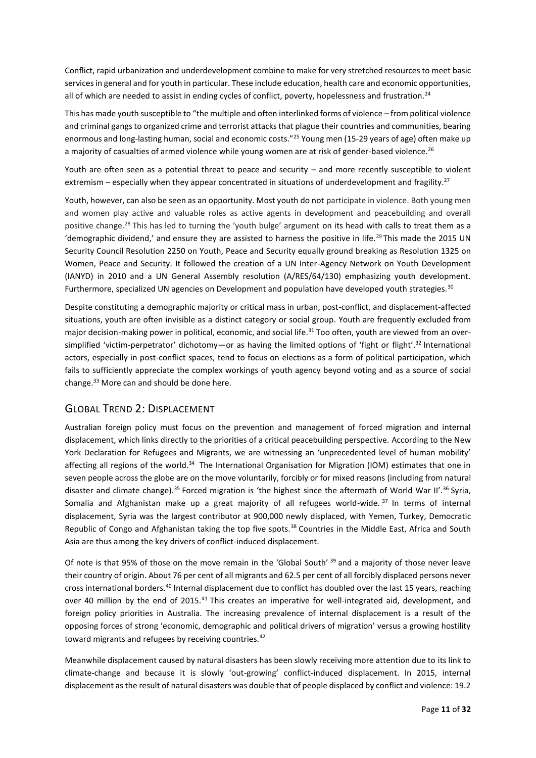Conflict, rapid urbanization and underdevelopment combine to make for very stretched resources to meet basic services in general and for youth in particular. These include education, health care and economic opportunities, all of which are needed to assist in ending cycles of conflict, poverty, hopelessness and frustration.<sup>24</sup>

This has made youth susceptible to "the multiple and often interlinked forms of violence – from political violence and criminal gangs to organized crime and terrorist attacks that plague their countries and communities, bearing enormous and long-lasting human, social and economic costs."<sup>25</sup> Young men (15-29 years of age) often make up a majority of casualties of armed violence while young women are at risk of gender-based violence.<sup>26</sup>

Youth are often seen as a potential threat to peace and security – and more recently susceptible to violent extremism – especially when they appear concentrated in situations of underdevelopment and fragility.<sup>27</sup>

Youth, however, can also be seen as an opportunity. Most youth do not participate in violence. Both young men and women play active and valuable roles as active agents in development and peacebuilding and overall positive change.<sup>28</sup> This has led to turning the 'youth bulge' argument on its head with calls to treat them as a 'demographic dividend,' and ensure they are assisted to harness the positive in life.<sup>29</sup> This made the 2015 UN Security Council Resolution 2250 on Youth, Peace and Security equally ground breaking as Resolution 1325 on Women, Peace and Security. It followed the creation of a UN Inter-Agency Network on Youth Development (IANYD) in 2010 and a UN General Assembly resolution (A/RES/64/130) emphasizing youth development. Furthermore, specialized UN agencies on Development and population have developed youth strategies.<sup>30</sup>

Despite constituting a demographic majority or critical mass in urban, post-conflict, and displacement-affected situations, youth are often invisible as a distinct category or social group. Youth are frequently excluded from major decision-making power in political, economic, and social life.<sup>31</sup> Too often, youth are viewed from an oversimplified 'victim-perpetrator' dichotomy—or as having the limited options of 'fight or flight'.<sup>32</sup> International actors, especially in post-conflict spaces, tend to focus on elections as a form of political participation, which fails to sufficiently appreciate the complex workings of youth agency beyond voting and as a source of social change. <sup>33</sup> More can and should be done here.

### <span id="page-10-0"></span>GLOBAL TREND 2: DISPLACEMENT

Australian foreign policy must focus on the prevention and management of forced migration and internal displacement, which links directly to the priorities of a critical peacebuilding perspective. According to the New York Declaration for Refugees and Migrants, we are witnessing an 'unprecedented level of human mobility' affecting all regions of the world.<sup>34</sup> The International Organisation for Migration (IOM) estimates that one in seven people across the globe are on the move voluntarily, forcibly or for mixed reasons (including from natural disaster and climate change).<sup>35</sup> Forced migration is 'the highest since the aftermath of World War II'.<sup>36</sup> Syria, Somalia and Afghanistan make up a great majority of all refugees world-wide.  $37$  In terms of internal displacement, Syria was the largest contributor at 900,000 newly displaced, with Yemen, Turkey, Democratic Republic of Congo and Afghanistan taking the top five spots.<sup>38</sup> Countries in the Middle East, Africa and South Asia are thus among the key drivers of conflict-induced displacement.

Of note is that 95% of those on the move remain in the 'Global South' <sup>39</sup> and a majority of those never leave their country of origin. About 76 per cent of all migrants and 62.5 per cent of all forcibly displaced persons never cross international borders.<sup>40</sup> Internal displacement due to conflict has doubled over the last 15 years, reaching over 40 million by the end of 2015.<sup>41</sup> This creates an imperative for well-integrated aid, development, and foreign policy priorities in Australia. The increasing prevalence of internal displacement is a result of the opposing forces of strong 'economic, demographic and political drivers of migration' versus a growing hostility toward migrants and refugees by receiving countries.<sup>42</sup>

Meanwhile displacement caused by natural disasters has been slowly receiving more attention due to its link to climate-change and because it is slowly 'out-growing' conflict-induced displacement. In 2015, internal displacement as the result of natural disasters was double that of people displaced by conflict and violence: 19.2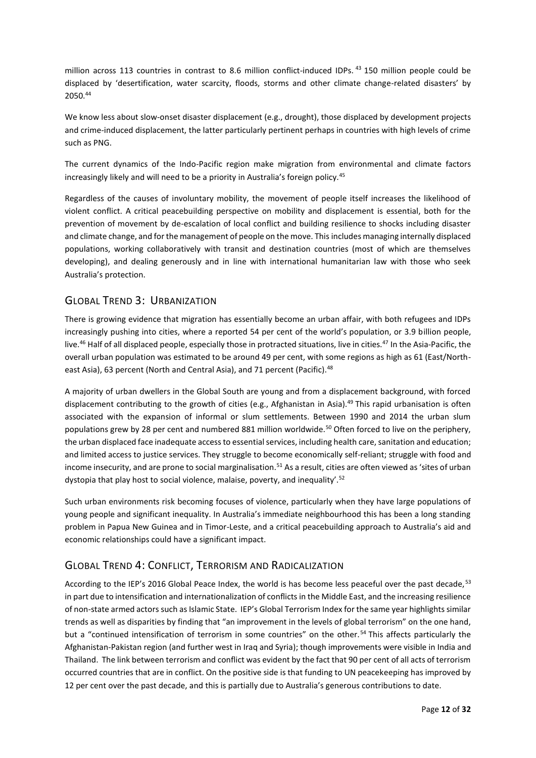million across 113 countries in contrast to 8.6 million conflict-induced IDPs. <sup>43</sup> 150 million people could be displaced by 'desertification, water scarcity, floods, storms and other climate change-related disasters' by 2050. 44

We know less about slow-onset disaster displacement (e.g., drought), those displaced by development projects and crime-induced displacement, the latter particularly pertinent perhaps in countries with high levels of crime such as PNG.

The current dynamics of the Indo-Pacific region make migration from environmental and climate factors increasingly likely and will need to be a priority in Australia's foreign policy.<sup>45</sup>

Regardless of the causes of involuntary mobility, the movement of people itself increases the likelihood of violent conflict. A critical peacebuilding perspective on mobility and displacement is essential, both for the prevention of movement by de-escalation of local conflict and building resilience to shocks including disaster and climate change, and for the management of people on the move. Thisincludes managing internally displaced populations, working collaboratively with transit and destination countries (most of which are themselves developing), and dealing generously and in line with international humanitarian law with those who seek Australia's protection.

### <span id="page-11-0"></span>GLOBAL TREND 3: URBANIZATION

There is growing evidence that migration has essentially become an urban affair, with both refugees and IDPs increasingly pushing into cities, where a reported 54 per cent of the world's population, or 3.9 billion people, live.<sup>46</sup> Half of all displaced people, especially those in protracted situations, live in cities.<sup>47</sup> In the Asia-Pacific, the overall urban population was estimated to be around 49 per cent, with some regions as high as 61 (East/Northeast Asia), 63 percent (North and Central Asia), and 71 percent (Pacific).<sup>48</sup>

A majority of urban dwellers in the Global South are young and from a displacement background, with forced displacement contributing to the growth of cities (e.g., Afghanistan in Asia).<sup>49</sup> This rapid urbanisation is often associated with the expansion of informal or slum settlements. Between 1990 and 2014 the urban slum populations grew by 28 per cent and numbered 881 million worldwide.<sup>50</sup> Often forced to live on the periphery, the urban displaced face inadequate access to essential services, including health care, sanitation and education; and limited access to justice services. They struggle to become economically self-reliant; struggle with food and income insecurity, and are prone to social marginalisation.<sup>51</sup> As a result, cities are often viewed as 'sites of urban dystopia that play host to social violence, malaise, poverty, and inequality'.<sup>52</sup>

Such urban environments risk becoming focuses of violence, particularly when they have large populations of young people and significant inequality. In Australia's immediate neighbourhood this has been a long standing problem in Papua New Guinea and in Timor-Leste, and a critical peacebuilding approach to Australia's aid and economic relationships could have a significant impact.

### <span id="page-11-1"></span>GLOBAL TREND 4: CONFLICT, TERRORISM AND RADICALIZATION

According to the IEP's 2016 Global Peace Index, the world is has become less peaceful over the past decade,<sup>53</sup> in part due to intensification and internationalization of conflicts in the Middle East, and the increasing resilience of non-state armed actors such as Islamic State. IEP's Global Terrorism Index for the same year highlights similar trends as well as disparities by finding that "an improvement in the levels of global terrorism" on the one hand, but a "continued intensification of terrorism in some countries" on the other.<sup>54</sup> This affects particularly the Afghanistan-Pakistan region (and further west in Iraq and Syria); though improvements were visible in India and Thailand. The link between terrorism and conflict was evident by the fact that 90 per cent of all acts of terrorism occurred countries that are in conflict. On the positive side is that funding to UN peacekeeping has improved by 12 per cent over the past decade, and this is partially due to Australia's generous contributions to date.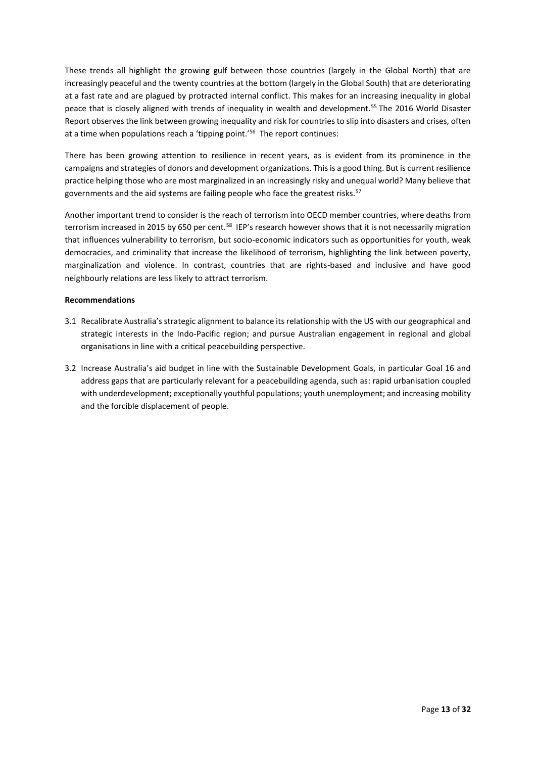These trends all highlight the growing gulf between those countries (largely in the Global North) that are increasingly peaceful and the twenty countries at the bottom (largely in the Global South) that are deteriorating at a fast rate and are plagued by protracted internal conflict. This makes for an increasing inequality in global peace that is closely aligned with trends of inequality in wealth and development.<sup>55</sup> The 2016 World Disaster Report observes the link between growing inequality and risk for countries to slip into disasters and crises, often at a time when populations reach a 'tipping point.'<sup>56</sup> The report continues:

There has been growing attention to resilience in recent years, as is evident from its prominence in the campaigns and strategies of donors and development organizations. This is a good thing. But is current resilience practice helping those who are most marginalized in an increasingly risky and unequal world? Many believe that governments and the aid systems are failing people who face the greatest risks.<sup>57</sup>

Another important trend to consider is the reach of terrorism into OECD member countries, where deaths from terrorism increased in 2015 by 650 per cent.<sup>58</sup> IEP's research however shows that it is not necessarily migration that influences vulnerability to terrorism, but socio-economic indicators such as opportunities for youth, weak democracies, and criminality that increase the likelihood of terrorism, highlighting the link between poverty, marginalization and violence. In contrast, countries that are rights-based and inclusive and have good neighbourly relations are less likely to attract terrorism.

#### **Recommendations**

- 3.1 Recalibrate Australia's strategic alignment to balance its relationship with the US with our geographical and strategic interests in the Indo-Pacific region; and pursue Australian engagement in regional and global organisations in line with a critical peacebuilding perspective.
- 3.2 Increase Australia's aid budget in line with the Sustainable Development Goals, in particular Goal 16 and address gaps that are particularly relevant for a peacebuilding agenda, such as: rapid urbanisation coupled with underdevelopment; exceptionally youthful populations; youth unemployment; and increasing mobility and the forcible displacement of people.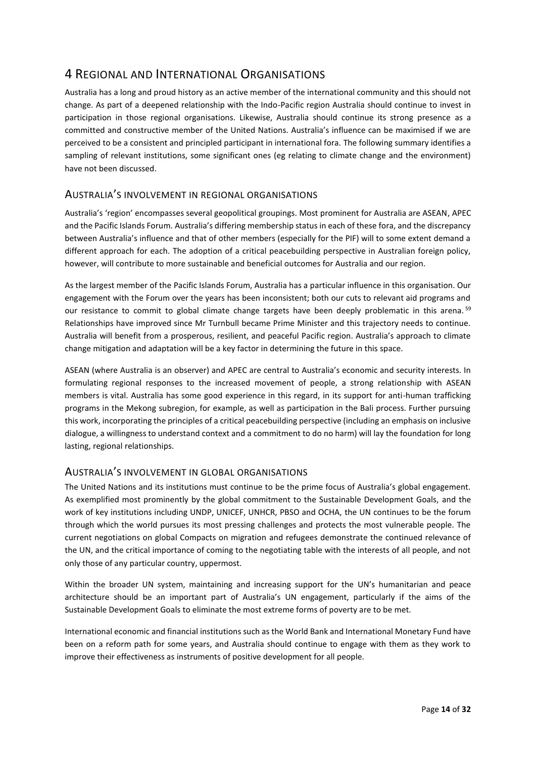## <span id="page-13-0"></span>4 REGIONAL AND INTERNATIONAL ORGANISATIONS

Australia has a long and proud history as an active member of the international community and this should not change. As part of a deepened relationship with the Indo-Pacific region Australia should continue to invest in participation in those regional organisations. Likewise, Australia should continue its strong presence as a committed and constructive member of the United Nations. Australia's influence can be maximised if we are perceived to be a consistent and principled participant in international fora. The following summary identifies a sampling of relevant institutions, some significant ones (eg relating to climate change and the environment) have not been discussed.

### <span id="page-13-1"></span>AUSTRALIA'S INVOLVEMENT IN REGIONAL ORGANISATIONS

Australia's 'region' encompasses several geopolitical groupings. Most prominent for Australia are ASEAN, APEC and the Pacific Islands Forum. Australia's differing membership status in each of these fora, and the discrepancy between Australia's influence and that of other members (especially for the PIF) will to some extent demand a different approach for each. The adoption of a critical peacebuilding perspective in Australian foreign policy, however, will contribute to more sustainable and beneficial outcomes for Australia and our region.

As the largest member of the Pacific Islands Forum, Australia has a particular influence in this organisation. Our engagement with the Forum over the years has been inconsistent; both our cuts to relevant aid programs and our resistance to commit to global climate change targets have been deeply problematic in this arena. 59 Relationships have improved since Mr Turnbull became Prime Minister and this trajectory needs to continue. Australia will benefit from a prosperous, resilient, and peaceful Pacific region. Australia's approach to climate change mitigation and adaptation will be a key factor in determining the future in this space.

ASEAN (where Australia is an observer) and APEC are central to Australia's economic and security interests. In formulating regional responses to the increased movement of people, a strong relationship with ASEAN members is vital. Australia has some good experience in this regard, in its support for anti-human trafficking programs in the Mekong subregion, for example, as well as participation in the Bali process. Further pursuing this work, incorporating the principles of a critical peacebuilding perspective (including an emphasis on inclusive dialogue, a willingness to understand context and a commitment to do no harm) will lay the foundation for long lasting, regional relationships.

### <span id="page-13-2"></span>AUSTRALIA'S INVOLVEMENT IN GLOBAL ORGANISATIONS

The United Nations and its institutions must continue to be the prime focus of Australia's global engagement. As exemplified most prominently by the global commitment to the Sustainable Development Goals, and the work of key institutions including UNDP, UNICEF, UNHCR, PBSO and OCHA, the UN continues to be the forum through which the world pursues its most pressing challenges and protects the most vulnerable people. The current negotiations on global Compacts on migration and refugees demonstrate the continued relevance of the UN, and the critical importance of coming to the negotiating table with the interests of all people, and not only those of any particular country, uppermost.

Within the broader UN system, maintaining and increasing support for the UN's humanitarian and peace architecture should be an important part of Australia's UN engagement, particularly if the aims of the Sustainable Development Goals to eliminate the most extreme forms of poverty are to be met.

International economic and financial institutions such as the World Bank and International Monetary Fund have been on a reform path for some years, and Australia should continue to engage with them as they work to improve their effectiveness as instruments of positive development for all people.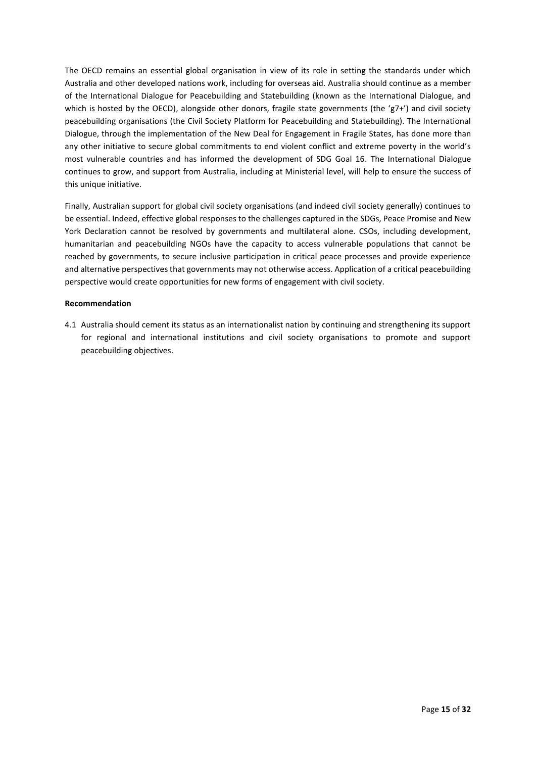The OECD remains an essential global organisation in view of its role in setting the standards under which Australia and other developed nations work, including for overseas aid. Australia should continue as a member of the International Dialogue for Peacebuilding and Statebuilding (known as the International Dialogue, and which is hosted by the OECD), alongside other donors, fragile state governments (the 'g7+') and civil society peacebuilding organisations (the Civil Society Platform for Peacebuilding and Statebuilding). The International Dialogue, through the implementation of the New Deal for Engagement in Fragile States, has done more than any other initiative to secure global commitments to end violent conflict and extreme poverty in the world's most vulnerable countries and has informed the development of SDG Goal 16. The International Dialogue continues to grow, and support from Australia, including at Ministerial level, will help to ensure the success of this unique initiative.

Finally, Australian support for global civil society organisations (and indeed civil society generally) continues to be essential. Indeed, effective global responses to the challenges captured in the SDGs, Peace Promise and New York Declaration cannot be resolved by governments and multilateral alone. CSOs, including development, humanitarian and peacebuilding NGOs have the capacity to access vulnerable populations that cannot be reached by governments, to secure inclusive participation in critical peace processes and provide experience and alternative perspectives that governments may not otherwise access. Application of a critical peacebuilding perspective would create opportunities for new forms of engagement with civil society.

#### **Recommendation**

4.1 Australia should cement its status as an internationalist nation by continuing and strengthening its support for regional and international institutions and civil society organisations to promote and support peacebuilding objectives.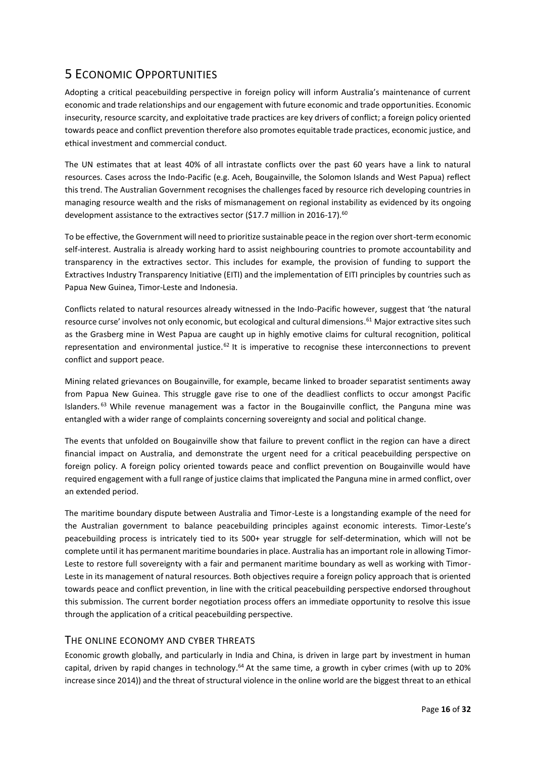## <span id="page-15-0"></span>5 ECONOMIC OPPORTUNITIES

Adopting a critical peacebuilding perspective in foreign policy will inform Australia's maintenance of current economic and trade relationships and our engagement with future economic and trade opportunities. Economic insecurity, resource scarcity, and exploitative trade practices are key drivers of conflict; a foreign policy oriented towards peace and conflict prevention therefore also promotes equitable trade practices, economic justice, and ethical investment and commercial conduct.

The UN estimates that at least 40% of all intrastate conflicts over the past 60 years have a link to natural resources. Cases across the Indo-Pacific (e.g. Aceh, Bougainville, the Solomon Islands and West Papua) reflect this trend. The Australian Government recognises the challenges faced by resource rich developing countries in managing resource wealth and the risks of mismanagement on regional instability as evidenced by its ongoing development assistance to the extractives sector (\$17.7 million in 2016-17).<sup>60</sup>

To be effective, the Government will need to prioritize sustainable peace in the region over short-term economic self-interest. Australia is already working hard to assist neighbouring countries to promote accountability and transparency in the extractives sector. This includes for example, the provision of funding to support the Extractives Industry Transparency Initiative (EITI) and the implementation of EITI principles by countries such as Papua New Guinea, Timor-Leste and Indonesia.

Conflicts related to natural resources already witnessed in the Indo-Pacific however, suggest that 'the natural resource curse' involves not only economic, but ecological and cultural dimensions.<sup>61</sup> Major extractive sites such as the Grasberg mine in West Papua are caught up in highly emotive claims for cultural recognition, political representation and environmental justice.<sup>62</sup> It is imperative to recognise these interconnections to prevent conflict and support peace.

Mining related grievances on Bougainville, for example, became linked to broader separatist sentiments away from Papua New Guinea. This struggle gave rise to one of the deadliest conflicts to occur amongst Pacific Islanders.<sup>63</sup> While revenue management was a factor in the Bougainville conflict, the Panguna mine was entangled with a wider range of complaints concerning sovereignty and social and political change.

The events that unfolded on Bougainville show that failure to prevent conflict in the region can have a direct financial impact on Australia, and demonstrate the urgent need for a critical peacebuilding perspective on foreign policy. A foreign policy oriented towards peace and conflict prevention on Bougainville would have required engagement with a full range of justice claims that implicated the Panguna mine in armed conflict, over an extended period.

The maritime boundary dispute between Australia and Timor-Leste is a longstanding example of the need for the Australian government to balance peacebuilding principles against economic interests. Timor-Leste's peacebuilding process is intricately tied to its 500+ year struggle for self-determination, which will not be complete until it has permanent maritime boundaries in place. Australia has an important role in allowing Timor-Leste to restore full sovereignty with a fair and permanent maritime boundary as well as working with Timor-Leste in its management of natural resources. Both objectives require a foreign policy approach that is oriented towards peace and conflict prevention, in line with the critical peacebuilding perspective endorsed throughout this submission. The current border negotiation process offers an immediate opportunity to resolve this issue through the application of a critical peacebuilding perspective.

### <span id="page-15-1"></span>THE ONLINE ECONOMY AND CYBER THREATS

Economic growth globally, and particularly in India and China, is driven in large part by investment in human capital, driven by rapid changes in technology.<sup>64</sup> At the same time, a growth in cyber crimes (with up to 20% increase since 2014)) and the threat of structural violence in the online world are the biggest threat to an ethical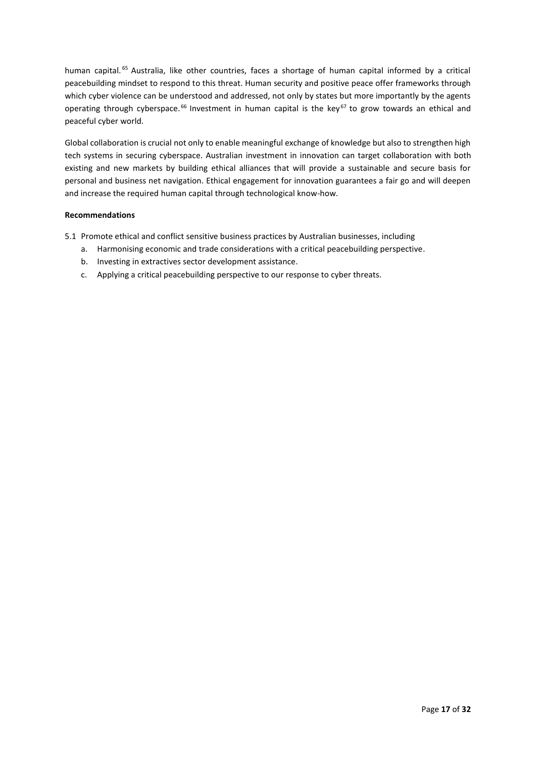human capital.<sup>65</sup> Australia, like other countries, faces a shortage of human capital informed by a critical peacebuilding mindset to respond to this threat. Human security and positive peace offer frameworks through which cyber violence can be understood and addressed, not only by states but more importantly by the agents operating through cyberspace.<sup>66</sup> Investment in human capital is the key<sup>67</sup> to grow towards an ethical and peaceful cyber world.

Global collaboration is crucial not only to enable meaningful exchange of knowledge but also to strengthen high tech systems in securing cyberspace. Australian investment in innovation can target collaboration with both existing and new markets by building ethical alliances that will provide a sustainable and secure basis for personal and business net navigation. Ethical engagement for innovation guarantees a fair go and will deepen and increase the required human capital through technological know-how.

#### **Recommendations**

- 5.1 Promote ethical and conflict sensitive business practices by Australian businesses, including
	- a. Harmonising economic and trade considerations with a critical peacebuilding perspective.
	- b. Investing in extractives sector development assistance.
	- c. Applying a critical peacebuilding perspective to our response to cyber threats.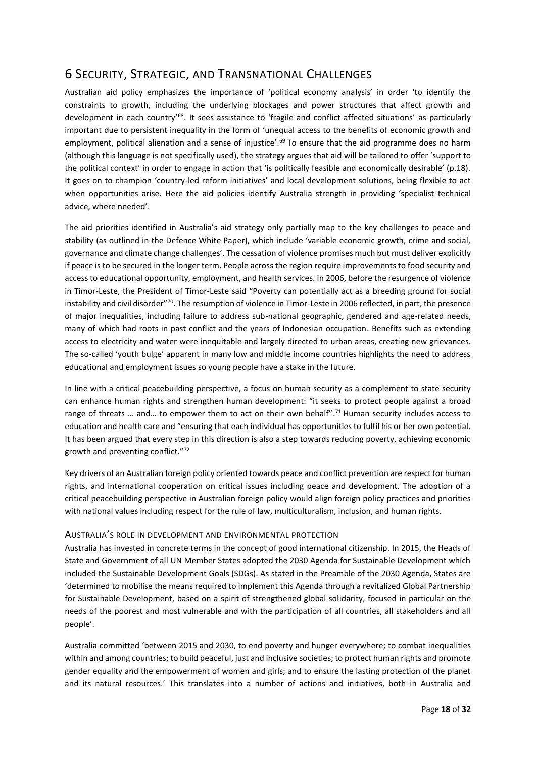## <span id="page-17-0"></span>6 SECURITY, STRATEGIC, AND TRANSNATIONAL CHALLENGES

Australian aid policy emphasizes the importance of 'political economy analysis' in order 'to identify the constraints to growth, including the underlying blockages and power structures that affect growth and development in each country'<sup>68</sup>. It sees assistance to 'fragile and conflict affected situations' as particularly important due to persistent inequality in the form of 'unequal access to the benefits of economic growth and employment, political alienation and a sense of injustice'.<sup>69</sup> To ensure that the aid programme does no harm (although this language is not specifically used), the strategy argues that aid will be tailored to offer 'support to the political context' in order to engage in action that 'is politically feasible and economically desirable' (p.18). It goes on to champion 'country-led reform initiatives' and local development solutions, being flexible to act when opportunities arise. Here the aid policies identify Australia strength in providing 'specialist technical advice, where needed'.

The aid priorities identified in Australia's aid strategy only partially map to the key challenges to peace and stability (as outlined in the Defence White Paper), which include 'variable economic growth, crime and social, governance and climate change challenges'. The cessation of violence promises much but must deliver explicitly if peace is to be secured in the longer term. People across the region require improvements to food security and access to educational opportunity, employment, and health services. In 2006, before the resurgence of violence in Timor-Leste, the President of Timor-Leste said "Poverty can potentially act as a breeding ground for social instability and civil disorder" $\frac{70}{10}$ . The resumption of violence in Timor-Leste in 2006 reflected, in part, the presence of major inequalities, including failure to address sub-national geographic, gendered and age-related needs, many of which had roots in past conflict and the years of Indonesian occupation. Benefits such as extending access to electricity and water were inequitable and largely directed to urban areas, creating new grievances. The so-called 'youth bulge' apparent in many low and middle income countries highlights the need to address educational and employment issues so young people have a stake in the future.

In line with a critical peacebuilding perspective, a focus on human security as a complement to state security can enhance human rights and strengthen human development: "it seeks to protect people against a broad range of threats ... and... to empower them to act on their own behalf".<sup>71</sup> Human security includes access to education and health care and "ensuring that each individual has opportunities to fulfil his or her own potential. It has been argued that every step in this direction is also a step towards reducing poverty, achieving economic growth and preventing conflict."<sup>72</sup>

Key drivers of an Australian foreign policy oriented towards peace and conflict prevention are respect for human rights, and international cooperation on critical issues including peace and development. The adoption of a critical peacebuilding perspective in Australian foreign policy would align foreign policy practices and priorities with national values including respect for the rule of law, multiculturalism, inclusion, and human rights.

#### <span id="page-17-1"></span>AUSTRALIA'S ROLE IN DEVELOPMENT AND ENVIRONMENTAL PROTECTION

Australia has invested in concrete terms in the concept of good international citizenship. In 2015, the Heads of State and Government of all UN Member States adopted the 2030 Agenda for Sustainable Development which included the Sustainable Development Goals (SDGs). As stated in the Preamble of the 2030 Agenda, States are 'determined to mobilise the means required to implement this Agenda through a revitalized Global Partnership for Sustainable Development, based on a spirit of strengthened global solidarity, focused in particular on the needs of the poorest and most vulnerable and with the participation of all countries, all stakeholders and all people'.

Australia committed 'between 2015 and 2030, to end poverty and hunger everywhere; to combat inequalities within and among countries; to build peaceful, just and inclusive societies; to protect human rights and promote gender equality and the empowerment of women and girls; and to ensure the lasting protection of the planet and its natural resources.' This translates into a number of actions and initiatives, both in Australia and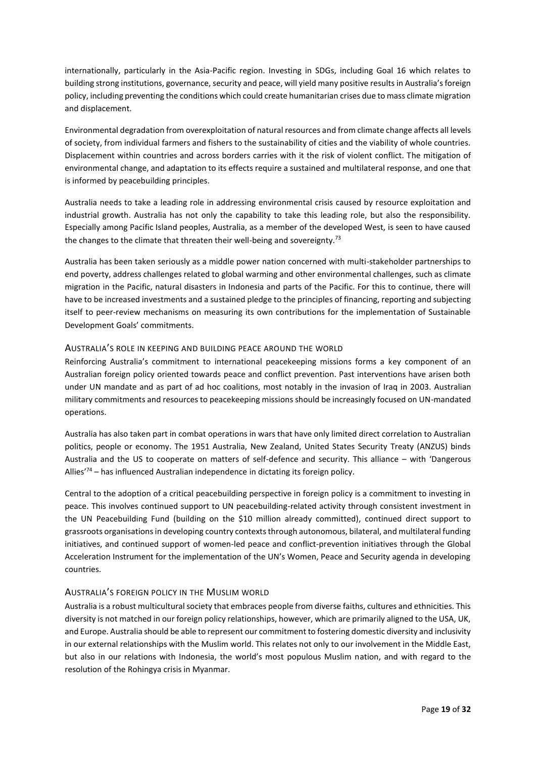internationally, particularly in the Asia-Pacific region. Investing in SDGs, including Goal 16 which relates to building strong institutions, governance, security and peace, will yield many positive results in Australia's foreign policy, including preventing the conditions which could create humanitarian crises due to mass climate migration and displacement.

Environmental degradation from overexploitation of natural resources and from climate change affects all levels of society, from individual farmers and fishers to the sustainability of cities and the viability of whole countries. Displacement within countries and across borders carries with it the risk of violent conflict. The mitigation of environmental change, and adaptation to its effects require a sustained and multilateral response, and one that is informed by peacebuilding principles.

Australia needs to take a leading role in addressing environmental crisis caused by resource exploitation and industrial growth. Australia has not only the capability to take this leading role, but also the responsibility. Especially among Pacific Island peoples, Australia, as a member of the developed West, is seen to have caused the changes to the climate that threaten their well-being and sovereignty.<sup>73</sup>

Australia has been taken seriously as a middle power nation concerned with multi-stakeholder partnerships to end poverty, address challenges related to global warming and other environmental challenges, such as climate migration in the Pacific, natural disasters in Indonesia and parts of the Pacific. For this to continue, there will have to be increased investments and a sustained pledge to the principles of financing, reporting and subjecting itself to peer-review mechanisms on measuring its own contributions for the implementation of Sustainable Development Goals' commitments.

#### <span id="page-18-0"></span>AUSTRALIA'S ROLE IN KEEPING AND BUILDING PEACE AROUND THE WORLD

Reinforcing Australia's commitment to international peacekeeping missions forms a key component of an Australian foreign policy oriented towards peace and conflict prevention. Past interventions have arisen both under UN mandate and as part of ad hoc coalitions, most notably in the invasion of Iraq in 2003. Australian military commitments and resources to peacekeeping missions should be increasingly focused on UN-mandated operations.

Australia has also taken part in combat operations in wars that have only limited direct correlation to Australian politics, people or economy. The 1951 Australia, New Zealand, United States Security Treaty (ANZUS) binds Australia and the US to cooperate on matters of self-defence and security. This alliance – with 'Dangerous Allies'<sup>74</sup> – has influenced Australian independence in dictating its foreign policy.

Central to the adoption of a critical peacebuilding perspective in foreign policy is a commitment to investing in peace. This involves continued support to UN peacebuilding-related activity through consistent investment in the UN Peacebuilding Fund (building on the \$10 million already committed), continued direct support to grassroots organisations in developing country contexts through autonomous, bilateral, and multilateral funding initiatives, and continued support of women-led peace and conflict-prevention initiatives through the Global Acceleration Instrument for the implementation of the UN's Women, Peace and Security agenda in developing countries.

#### <span id="page-18-1"></span>AUSTRALIA'S FOREIGN POLICY IN THE MUSLIM WORLD

Australia is a robust multicultural society that embraces people from diverse faiths, cultures and ethnicities. This diversity is not matched in our foreign policy relationships, however, which are primarily aligned to the USA, UK, and Europe. Australia should be able to represent our commitment to fostering domestic diversity and inclusivity in our external relationships with the Muslim world. This relates not only to our involvement in the Middle East, but also in our relations with Indonesia, the world's most populous Muslim nation, and with regard to the resolution of the Rohingya crisis in Myanmar.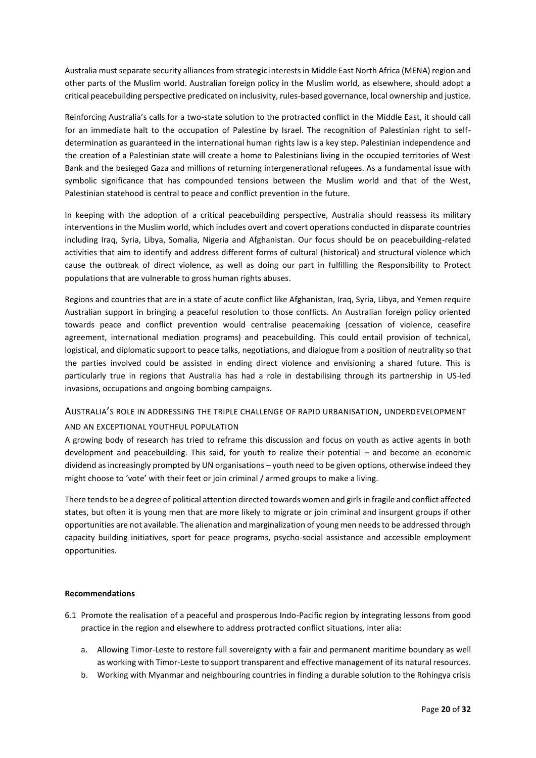Australia must separate security alliances from strategic interests in Middle East North Africa (MENA) region and other parts of the Muslim world. Australian foreign policy in the Muslim world, as elsewhere, should adopt a critical peacebuilding perspective predicated on inclusivity, rules-based governance, local ownership and justice.

Reinforcing Australia's calls for a two-state solution to the protracted conflict in the Middle East, it should call for an immediate halt to the occupation of Palestine by Israel. The recognition of Palestinian right to selfdetermination as guaranteed in the international human rights law is a key step. Palestinian independence and the creation of a Palestinian state will create a home to Palestinians living in the occupied territories of West Bank and the besieged Gaza and millions of returning intergenerational refugees. As a fundamental issue with symbolic significance that has compounded tensions between the Muslim world and that of the West, Palestinian statehood is central to peace and conflict prevention in the future.

In keeping with the adoption of a critical peacebuilding perspective, Australia should reassess its military interventions in the Muslim world, which includes overt and covert operations conducted in disparate countries including Iraq, Syria, Libya, Somalia, Nigeria and Afghanistan. Our focus should be on peacebuilding-related activities that aim to identify and address different forms of cultural (historical) and structural violence which cause the outbreak of direct violence, as well as doing our part in fulfilling the Responsibility to Protect populations that are vulnerable to gross human rights abuses.

Regions and countries that are in a state of acute conflict like Afghanistan, Iraq, Syria, Libya, and Yemen require Australian support in bringing a peaceful resolution to those conflicts. An Australian foreign policy oriented towards peace and conflict prevention would centralise peacemaking (cessation of violence, ceasefire agreement, international mediation programs) and peacebuilding. This could entail provision of technical, logistical, and diplomatic support to peace talks, negotiations, and dialogue from a position of neutrality so that the parties involved could be assisted in ending direct violence and envisioning a shared future. This is particularly true in regions that Australia has had a role in destabilising through its partnership in US-led invasions, occupations and ongoing bombing campaigns.

#### <span id="page-19-0"></span>AUSTRALIA'S ROLE IN ADDRESSING THE TRIPLE CHALLENGE OF RAPID URBANISATION, UNDERDEVELOPMENT

#### AND AN EXCEPTIONAL YOUTHFUL POPULATION

A growing body of research has tried to reframe this discussion and focus on youth as active agents in both development and peacebuilding. This said, for youth to realize their potential – and become an economic dividend as increasingly prompted by UN organisations – youth need to be given options, otherwise indeed they might choose to 'vote' with their feet or join criminal / armed groups to make a living.

There tends to be a degree of political attention directed towards women and girls in fragile and conflict affected states, but often it is young men that are more likely to migrate or join criminal and insurgent groups if other opportunities are not available. The alienation and marginalization of young men needs to be addressed through capacity building initiatives, sport for peace programs, psycho-social assistance and accessible employment opportunities.

#### **Recommendations**

- 6.1 Promote the realisation of a peaceful and prosperous Indo-Pacific region by integrating lessons from good practice in the region and elsewhere to address protracted conflict situations, inter alia:
	- a. Allowing Timor-Leste to restore full sovereignty with a fair and permanent maritime boundary as well as working with Timor-Leste to support transparent and effective management of its natural resources.
	- b. Working with Myanmar and neighbouring countries in finding a durable solution to the Rohingya crisis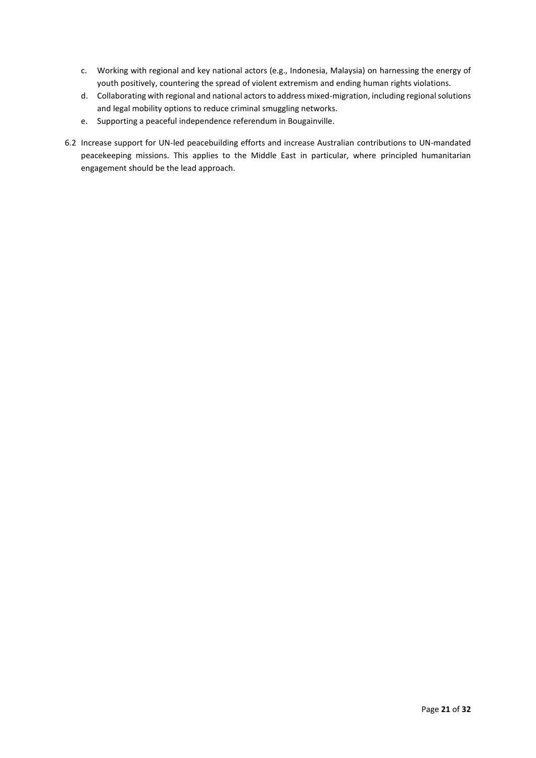- c. Working with regional and key national actors (e.g., Indonesia, Malaysia) on harnessing the energy of youth positively, countering the spread of violent extremism and ending human rights violations.
- d. Collaborating with regional and national actors to address mixed-migration, including regional solutions and legal mobility options to reduce criminal smuggling networks.
- e. Supporting a peaceful independence referendum in Bougainville.
- 6.2 Increase support for UN-led peacebuilding efforts and increase Australian contributions to UN-mandated peacekeeping missions. This applies to the Middle East in particular, where principled humanitarian engagement should be the lead approach.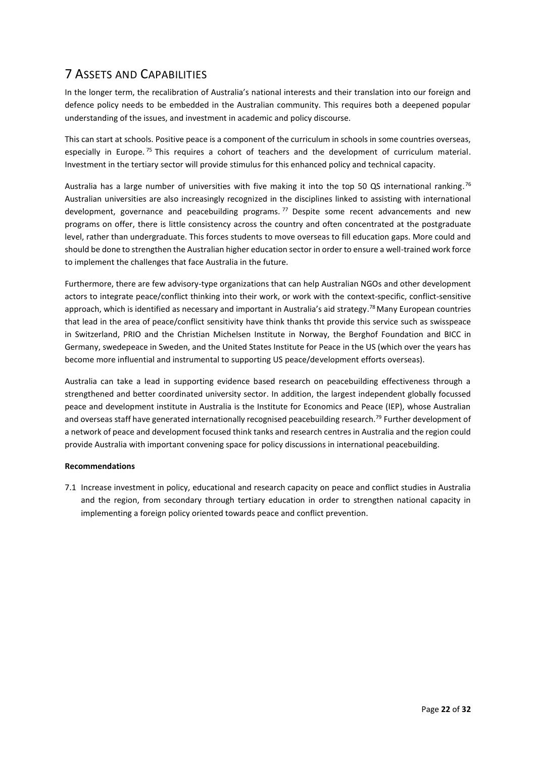## <span id="page-21-0"></span>7 ASSETS AND CAPABILITIES

In the longer term, the recalibration of Australia's national interests and their translation into our foreign and defence policy needs to be embedded in the Australian community. This requires both a deepened popular understanding of the issues, and investment in academic and policy discourse.

This can start at schools. Positive peace is a component of the curriculum in schools in some countries overseas, especially in Europe.<sup>75</sup> This requires a cohort of teachers and the development of curriculum material. Investment in the tertiary sector will provide stimulus for this enhanced policy and technical capacity.

Australia has a large number of universities with five making it into the top 50 QS international ranking.<sup>76</sup> Australian universities are also increasingly recognized in the disciplines linked to assisting with international development, governance and peacebuilding programs.<sup>77</sup> Despite some recent advancements and new programs on offer, there is little consistency across the country and often concentrated at the postgraduate level, rather than undergraduate. This forces students to move overseas to fill education gaps. More could and should be done to strengthen the Australian higher education sector in order to ensure a well-trained work force to implement the challenges that face Australia in the future.

Furthermore, there are few advisory-type organizations that can help Australian NGOs and other development actors to integrate peace/conflict thinking into their work, or work with the context-specific, conflict-sensitive approach, which is identified as necessary and important in Australia's aid strategy.<sup>78</sup> Many European countries that lead in the area of peace/conflict sensitivity have think thanks tht provide this service such as swisspeace in Switzerland, PRIO and the Christian Michelsen Institute in Norway, the Berghof Foundation and BICC in Germany, swedepeace in Sweden, and the United States Institute for Peace in the US (which over the years has become more influential and instrumental to supporting US peace/development efforts overseas).

Australia can take a lead in supporting evidence based research on peacebuilding effectiveness through a strengthened and better coordinated university sector. In addition, the largest independent globally focussed peace and development institute in Australia is the Institute for Economics and Peace (IEP), whose Australian and overseas staff have generated internationally recognised peacebuilding research.<sup>79</sup> Further development of a network of peace and development focused think tanks and research centres in Australia and the region could provide Australia with important convening space for policy discussions in international peacebuilding.

#### **Recommendations**

7.1 Increase investment in policy, educational and research capacity on peace and conflict studies in Australia and the region, from secondary through tertiary education in order to strengthen national capacity in implementing a foreign policy oriented towards peace and conflict prevention.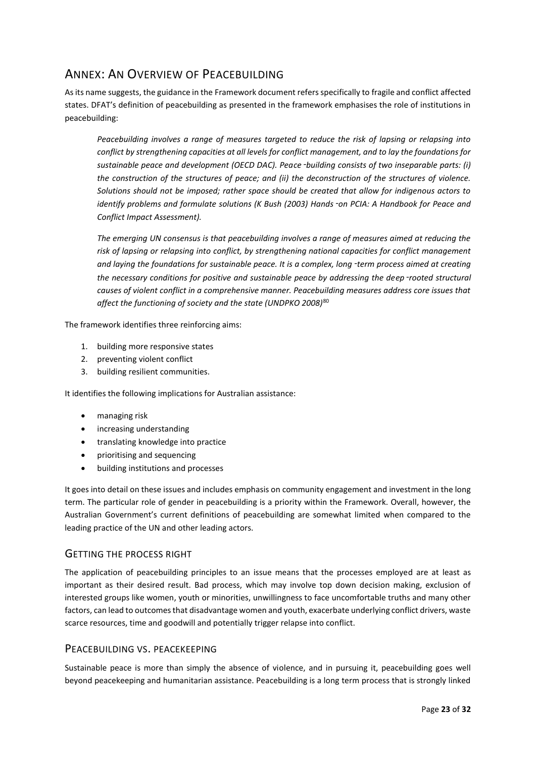## <span id="page-22-0"></span>ANNEX: AN OVERVIEW OF PEACEBUILDING

As its name suggests, the guidance in the Framework document refers specifically to fragile and conflict affected states. DFAT's definition of peacebuilding as presented in the framework emphasises the role of institutions in peacebuilding:

*Peacebuilding involves a range of measures targeted to reduce the risk of lapsing or relapsing into conflict by strengthening capacities at all levels for conflict management, and to lay the foundations for sustainable peace and development (OECD DAC). Peace*‑*building consists of two inseparable parts: (i) the construction of the structures of peace; and (ii) the deconstruction of the structures of violence. Solutions should not be imposed; rather space should be created that allow for indigenous actors to identify problems and formulate solutions (K Bush (2003) Hands*‑*on PCIA: A Handbook for Peace and Conflict Impact Assessment).*

*The emerging UN consensus is that peacebuilding involves a range of measures aimed at reducing the risk of lapsing or relapsing into conflict, by strengthening national capacities for conflict management and laying the foundations for sustainable peace. It is a complex, long*‑*term process aimed at creating the necessary conditions for positive and sustainable peace by addressing the deep*‑*rooted structural causes of violent conflict in a comprehensive manner. Peacebuilding measures address core issues that affect the functioning of society and the state (UNDPKO 2008)*<sup>80</sup>

The framework identifies three reinforcing aims:

- 1. building more responsive states
- 2. preventing violent conflict
- 3. building resilient communities.

It identifies the following implications for Australian assistance:

- managing risk
- increasing understanding
- translating knowledge into practice
- prioritising and sequencing
- building institutions and processes

It goes into detail on these issues and includes emphasis on community engagement and investment in the long term. The particular role of gender in peacebuilding is a priority within the Framework. Overall, however, the Australian Government's current definitions of peacebuilding are somewhat limited when compared to the leading practice of the UN and other leading actors.

#### <span id="page-22-1"></span>GETTING THE PROCESS RIGHT

The application of peacebuilding principles to an issue means that the processes employed are at least as important as their desired result. Bad process, which may involve top down decision making, exclusion of interested groups like women, youth or minorities, unwillingness to face uncomfortable truths and many other factors, can lead to outcomes that disadvantage women and youth, exacerbate underlying conflict drivers, waste scarce resources, time and goodwill and potentially trigger relapse into conflict.

#### <span id="page-22-2"></span>PEACEBUILDING VS. PEACEKEEPING

Sustainable peace is more than simply the absence of violence, and in pursuing it, peacebuilding goes well beyond peacekeeping and humanitarian assistance. Peacebuilding is a long term process that is strongly linked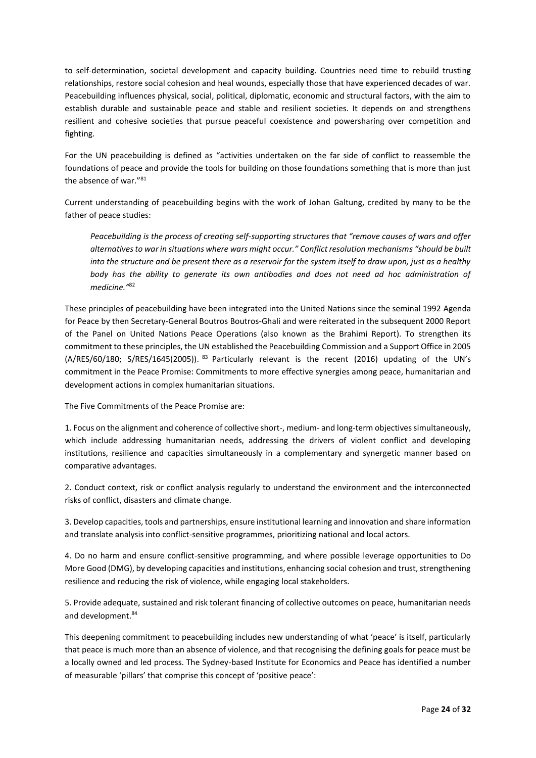to self-determination, societal development and capacity building. Countries need time to rebuild trusting relationships, restore social cohesion and heal wounds, especially those that have experienced decades of war. Peacebuilding influences physical, social, political, diplomatic, economic and structural factors, with the aim to establish durable and sustainable peace and stable and resilient societies. It depends on and strengthens resilient and cohesive societies that pursue peaceful coexistence and powersharing over competition and fighting.

For the UN peacebuilding is defined as "activities undertaken on the far side of conflict to reassemble the foundations of peace and provide the tools for building on those foundations something that is more than just the absence of war."<sup>81</sup>

Current understanding of peacebuilding begins with the work of Johan Galtung, credited by many to be the father of peace studies:

*Peacebuilding is the process of creating self-supporting structures that "remove causes of wars and offer alternatives to war in situations where wars might occur." Conflict resolution mechanisms "should be built into the structure and be present there as a reservoir for the system itself to draw upon, just as a healthy body has the ability to generate its own antibodies and does not need ad hoc administration of medicine."*<sup>82</sup>

These principles of peacebuilding have been integrated into the United Nations since the seminal 1992 Agenda for Peace by then Secretary-General Boutros Boutros-Ghali and were reiterated in the subsequent 2000 Report of the Panel on United Nations Peace Operations (also known as the Brahimi Report). To strengthen its commitment to these principles, the UN established the Peacebuilding Commission and a Support Office in 2005 (A/RES/60/180; S/RES/1645(2005)). <sup>83</sup> Particularly relevant is the recent (2016) updating of the UN's commitment in the Peace Promise: Commitments to more effective synergies among peace, humanitarian and development actions in complex humanitarian situations.

The Five Commitments of the Peace Promise are:

1. Focus on the alignment and coherence of collective short-, medium- and long-term objectives simultaneously, which include addressing humanitarian needs, addressing the drivers of violent conflict and developing institutions, resilience and capacities simultaneously in a complementary and synergetic manner based on comparative advantages.

2. Conduct context, risk or conflict analysis regularly to understand the environment and the interconnected risks of conflict, disasters and climate change.

3. Develop capacities, tools and partnerships, ensure institutional learning and innovation and share information and translate analysis into conflict-sensitive programmes, prioritizing national and local actors.

4. Do no harm and ensure conflict-sensitive programming, and where possible leverage opportunities to Do More Good (DMG), by developing capacities and institutions, enhancing social cohesion and trust, strengthening resilience and reducing the risk of violence, while engaging local stakeholders.

5. Provide adequate, sustained and risk tolerant financing of collective outcomes on peace, humanitarian needs and development.<sup>84</sup>

This deepening commitment to peacebuilding includes new understanding of what 'peace' is itself, particularly that peace is much more than an absence of violence, and that recognising the defining goals for peace must be a locally owned and led process. The Sydney-based Institute for Economics and Peace has identified a number of measurable 'pillars' that comprise this concept of 'positive peace':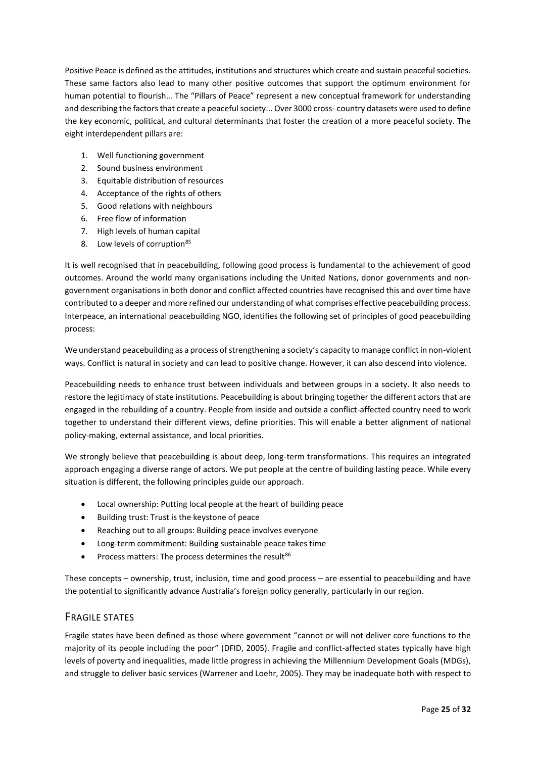Positive Peace is defined as the attitudes, institutions and structures which create and sustain peaceful societies. These same factors also lead to many other positive outcomes that support the optimum environment for human potential to flourish… The "Pillars of Peace" represent a new conceptual framework for understanding and describing the factors that create a peaceful society... Over 3000 cross- country datasets were used to define the key economic, political, and cultural determinants that foster the creation of a more peaceful society. The eight interdependent pillars are:

- 1. Well functioning government
- 2. Sound business environment
- 3. Equitable distribution of resources
- 4. Acceptance of the rights of others
- 5. Good relations with neighbours
- 6. Free flow of information
- 7. High levels of human capital
- 8. Low levels of corruption<sup>85</sup>

It is well recognised that in peacebuilding, following good process is fundamental to the achievement of good outcomes. Around the world many organisations including the United Nations, donor governments and nongovernment organisations in both donor and conflict affected countries have recognised this and over time have contributed to a deeper and more refined our understanding of what comprises effective peacebuilding process. Interpeace, an international peacebuilding NGO, identifies the following set of principles of good peacebuilding process:

We understand peacebuilding as a process of strengthening a society's capacity to manage conflict in non-violent ways. Conflict is natural in society and can lead to positive change. However, it can also descend into violence.

Peacebuilding needs to enhance trust between individuals and between groups in a society. It also needs to restore the legitimacy of state institutions. Peacebuilding is about bringing together the different actors that are engaged in the rebuilding of a country. People from inside and outside a conflict-affected country need to work together to understand their different views, define priorities. This will enable a better alignment of national policy-making, external assistance, and local priorities.

We strongly believe that peacebuilding is about deep, long-term transformations. This requires an integrated approach engaging a diverse range of actors. We put people at the centre of building lasting peace. While every situation is different, the following principles guide our approach.

- Local ownership: Putting local people at the heart of building peace
- Building trust: Trust is the keystone of peace
- Reaching out to all groups: Building peace involves everyone
- Long-term commitment: Building sustainable peace takes time
- Process matters: The process determines the result $86$

These concepts – ownership, trust, inclusion, time and good process – are essential to peacebuilding and have the potential to significantly advance Australia's foreign policy generally, particularly in our region.

### <span id="page-24-0"></span>FRAGILE STATES

Fragile states have been defined as those where government "cannot or will not deliver core functions to the majority of its people including the poor" (DFID, 2005). Fragile and conflict-affected states typically have high levels of poverty and inequalities, made little progress in achieving the Millennium Development Goals (MDGs), and struggle to deliver basic services (Warrener and Loehr, 2005). They may be inadequate both with respect to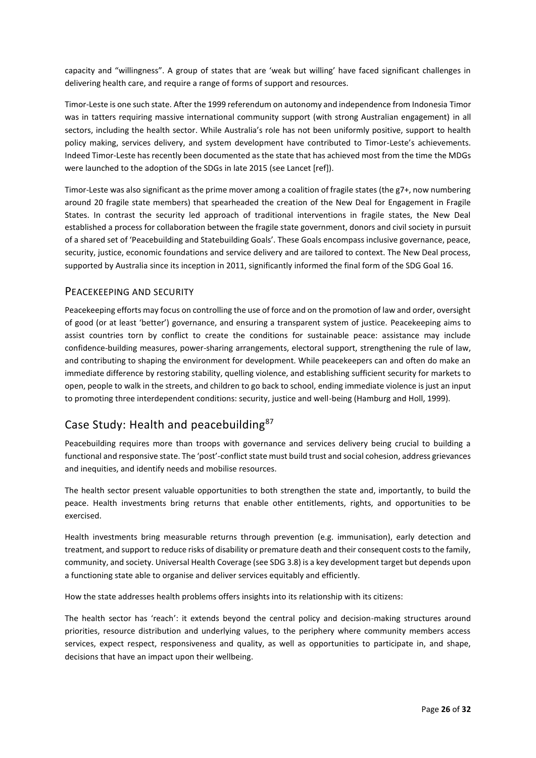capacity and "willingness". A group of states that are 'weak but willing' have faced significant challenges in delivering health care, and require a range of forms of support and resources.

Timor-Leste is one such state. After the 1999 referendum on autonomy and independence from Indonesia Timor was in tatters requiring massive international community support (with strong Australian engagement) in all sectors, including the health sector. While Australia's role has not been uniformly positive, support to health policy making, services delivery, and system development have contributed to Timor-Leste's achievements. Indeed Timor-Leste has recently been documented as the state that has achieved most from the time the MDGs were launched to the adoption of the SDGs in late 2015 (see Lancet [ref]).

Timor-Leste was also significant as the prime mover among a coalition of fragile states (the g7+, now numbering around 20 fragile state members) that spearheaded the creation of the New Deal for Engagement in Fragile States. In contrast the security led approach of traditional interventions in fragile states, the New Deal established a process for collaboration between the fragile state government, donors and civil society in pursuit of a shared set of 'Peacebuilding and Statebuilding Goals'. These Goals encompass inclusive governance, peace, security, justice, economic foundations and service delivery and are tailored to context. The New Deal process, supported by Australia since its inception in 2011, significantly informed the final form of the SDG Goal 16.

### <span id="page-25-0"></span>PEACEKEEPING AND SECURITY

Peacekeeping efforts may focus on controlling the use of force and on the promotion of law and order, oversight of good (or at least 'better') governance, and ensuring a transparent system of justice. Peacekeeping aims to assist countries torn by conflict to create the conditions for sustainable peace: assistance may include confidence-building measures, power-sharing arrangements, electoral support, strengthening the rule of law, and contributing to shaping the environment for development. While peacekeepers can and often do make an immediate difference by restoring stability, quelling violence, and establishing sufficient security for markets to open, people to walk in the streets, and children to go back to school, ending immediate violence is just an input to promoting three interdependent conditions: security, justice and well-being (Hamburg and Holl, 1999).

## <span id="page-25-1"></span>Case Study: Health and peacebuilding<sup>87</sup>

Peacebuilding requires more than troops with governance and services delivery being crucial to building a functional and responsive state. The 'post'-conflict state must build trust and social cohesion, address grievances and inequities, and identify needs and mobilise resources.

The health sector present valuable opportunities to both strengthen the state and, importantly, to build the peace. Health investments bring returns that enable other entitlements, rights, and opportunities to be exercised.

Health investments bring measurable returns through prevention (e.g. immunisation), early detection and treatment, and support to reduce risks of disability or premature death and their consequent costs to the family, community, and society. Universal Health Coverage (see SDG 3.8) is a key development target but depends upon a functioning state able to organise and deliver services equitably and efficiently.

How the state addresses health problems offers insights into its relationship with its citizens:

The health sector has 'reach': it extends beyond the central policy and decision-making structures around priorities, resource distribution and underlying values, to the periphery where community members access services, expect respect, responsiveness and quality, as well as opportunities to participate in, and shape, decisions that have an impact upon their wellbeing.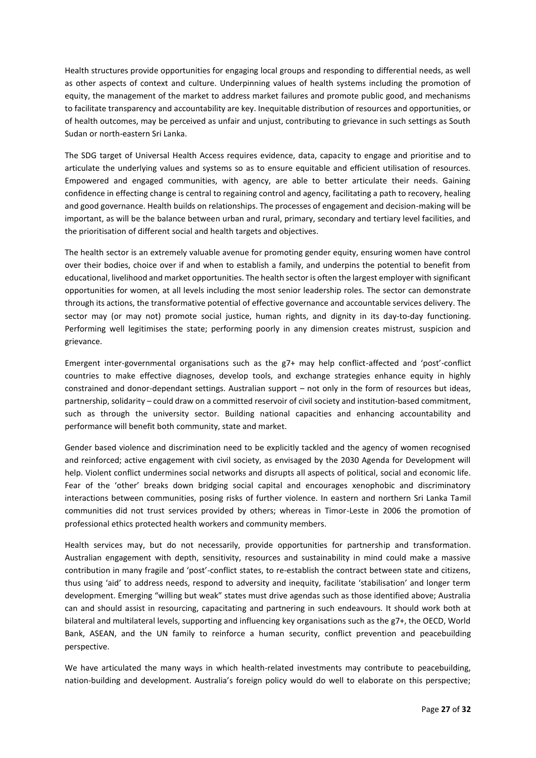Health structures provide opportunities for engaging local groups and responding to differential needs, as well as other aspects of context and culture. Underpinning values of health systems including the promotion of equity, the management of the market to address market failures and promote public good, and mechanisms to facilitate transparency and accountability are key. Inequitable distribution of resources and opportunities, or of health outcomes, may be perceived as unfair and unjust, contributing to grievance in such settings as South Sudan or north-eastern Sri Lanka.

The SDG target of Universal Health Access requires evidence, data, capacity to engage and prioritise and to articulate the underlying values and systems so as to ensure equitable and efficient utilisation of resources. Empowered and engaged communities, with agency, are able to better articulate their needs. Gaining confidence in effecting change is central to regaining control and agency, facilitating a path to recovery, healing and good governance. Health builds on relationships. The processes of engagement and decision-making will be important, as will be the balance between urban and rural, primary, secondary and tertiary level facilities, and the prioritisation of different social and health targets and objectives.

The health sector is an extremely valuable avenue for promoting gender equity, ensuring women have control over their bodies, choice over if and when to establish a family, and underpins the potential to benefit from educational, livelihood and market opportunities. The health sector is often the largest employer with significant opportunities for women, at all levels including the most senior leadership roles. The sector can demonstrate through its actions, the transformative potential of effective governance and accountable services delivery. The sector may (or may not) promote social justice, human rights, and dignity in its day-to-day functioning. Performing well legitimises the state; performing poorly in any dimension creates mistrust, suspicion and grievance.

Emergent inter-governmental organisations such as the g7+ may help conflict-affected and 'post'-conflict countries to make effective diagnoses, develop tools, and exchange strategies enhance equity in highly constrained and donor-dependant settings. Australian support – not only in the form of resources but ideas, partnership, solidarity – could draw on a committed reservoir of civil society and institution-based commitment, such as through the university sector. Building national capacities and enhancing accountability and performance will benefit both community, state and market.

Gender based violence and discrimination need to be explicitly tackled and the agency of women recognised and reinforced; active engagement with civil society, as envisaged by the 2030 Agenda for Development will help. Violent conflict undermines social networks and disrupts all aspects of political, social and economic life. Fear of the 'other' breaks down bridging social capital and encourages xenophobic and discriminatory interactions between communities, posing risks of further violence. In eastern and northern Sri Lanka Tamil communities did not trust services provided by others; whereas in Timor-Leste in 2006 the promotion of professional ethics protected health workers and community members.

Health services may, but do not necessarily, provide opportunities for partnership and transformation. Australian engagement with depth, sensitivity, resources and sustainability in mind could make a massive contribution in many fragile and 'post'-conflict states, to re-establish the contract between state and citizens, thus using 'aid' to address needs, respond to adversity and inequity, facilitate 'stabilisation' and longer term development. Emerging "willing but weak" states must drive agendas such as those identified above; Australia can and should assist in resourcing, capacitating and partnering in such endeavours. It should work both at bilateral and multilateral levels, supporting and influencing key organisations such as the g7+, the OECD, World Bank, ASEAN, and the UN family to reinforce a human security, conflict prevention and peacebuilding perspective.

We have articulated the many ways in which health-related investments may contribute to peacebuilding, nation-building and development. Australia's foreign policy would do well to elaborate on this perspective;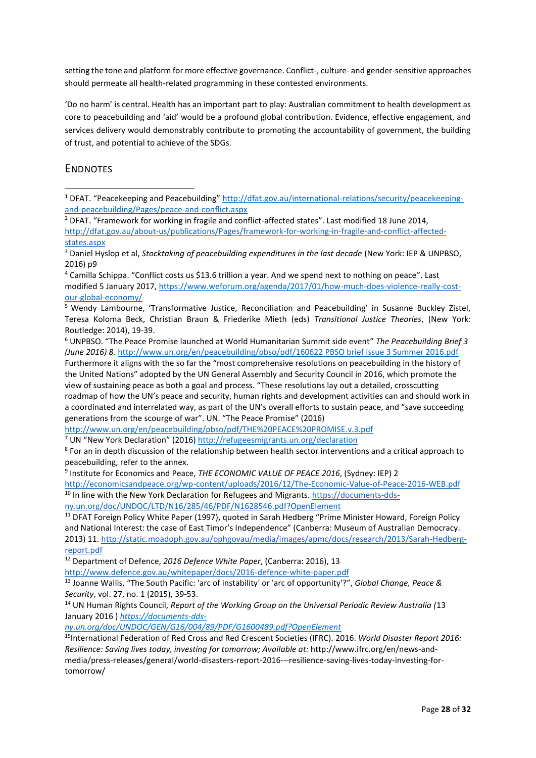setting the tone and platform for more effective governance. Conflict-, culture- and gender-sensitive approaches should permeate all health-related programming in these contested environments.

'Do no harm' is central. Health has an important part to play: Australian commitment to health development as core to peacebuilding and 'aid' would be a profound global contribution. Evidence, effective engagement, and services delivery would demonstrably contribute to promoting the accountability of government, the building of trust, and potential to achieve of the SDGs.

### <span id="page-27-0"></span>ENDNOTES

1

<sup>2</sup> DFAT. "Framework for working in fragile and conflict-affected states". Last modified 18 June 2014, [http://dfat.gov.au/about-us/publications/Pages/framework-for-working-in-fragile-and-conflict-affected](http://dfat.gov.au/about-us/publications/Pages/framework-for-working-in-fragile-and-conflict-affected-states.aspx)[states.aspx](http://dfat.gov.au/about-us/publications/Pages/framework-for-working-in-fragile-and-conflict-affected-states.aspx)

<sup>4</sup> Camilla Schippa. "Conflict costs us \$13.6 trillion a year. And we spend next to nothing on peace". Last modified 5 January 2017[, https://www.weforum.org/agenda/2017/01/how-much-does-violence-really-cost](https://www.weforum.org/agenda/2017/01/how-much-does-violence-really-cost-our-global-economy/)[our-global-economy/](https://www.weforum.org/agenda/2017/01/how-much-does-violence-really-cost-our-global-economy/)

<sup>5</sup> Wendy Lambourne, 'Transformative Justice, Reconciliation and Peacebuilding' in Susanne Buckley Zistel, Teresa Koloma Beck, Christian Braun & Friederike Mieth (eds) *Transitional Justice Theories*, (New York: Routledge: 2014), 19-39.

<sup>6</sup> UNPBSO. "The Peace Promise launched at World Humanitarian Summit side event" *The Peacebuilding Brief 3 (June 2016) 8.* [http://www.un.org/en/peacebuilding/pbso/pdf/160622 PBSO brief issue 3 Summer 2016.pdf](http://www.un.org/en/peacebuilding/pbso/pdf/160622%20PBSO%20brief%20issue%203%20Summer%202016.pdf)

Furthermore it aligns with the so far the "most comprehensive resolutions on peacebuilding in the history of the United Nations" adopted by the UN General Assembly and Security Council in 2016, which promote the view of sustaining peace as both a goal and process. "These resolutions lay out a detailed, crosscutting roadmap of how the UN's peace and security, human rights and development activities can and should work in a coordinated and interrelated way, as part of the UN's overall efforts to sustain peace, and "save succeeding generations from the scourge of war". UN. "The Peace Promise" (2016)

<http://www.un.org/en/peacebuilding/pbso/pdf/THE%20PEACE%20PROMISE.v.3.pdf>

<sup>7</sup> UN "New York Declaration" (2016) <http://refugeesmigrants.un.org/declaration>

<sup>8</sup> For an in depth discussion of the relationship between health sector interventions and a critical approach to peacebuilding, refer to the annex.

9 Institute for Economics and Peace, *THE ECONOMIC VALUE OF PEACE 2016*, (Sydney: IEP) 2

<http://economicsandpeace.org/wp-content/uploads/2016/12/The-Economic-Value-of-Peace-2016-WEB.pdf> <sup>10</sup> In line with the New York Declaration for Refugees and Migrants. [https://documents-dds-](https://documents-dds-ny.un.org/doc/UNDOC/LTD/N16/285/46/PDF/N1628546.pdf?OpenElement)

[ny.un.org/doc/UNDOC/LTD/N16/285/46/PDF/N1628546.pdf?OpenElement](https://documents-dds-ny.un.org/doc/UNDOC/LTD/N16/285/46/PDF/N1628546.pdf?OpenElement)

<sup>11</sup> DFAT Foreign Policy White Paper (1997), quoted in Sarah Hedberg "Prime Minister Howard, Foreign Policy and National Interest: the case of East Timor's Independence" (Canberra: Museum of Australian Democracy. 2013) 11[. http://static.moadoph.gov.au/ophgovau/media/images/apmc/docs/research/2013/Sarah-Hedberg](http://static.moadoph.gov.au/ophgovau/media/images/apmc/docs/research/2013/Sarah-Hedberg-report.pdf)[report.pdf](http://static.moadoph.gov.au/ophgovau/media/images/apmc/docs/research/2013/Sarah-Hedberg-report.pdf)

<sup>12</sup> Department of Defence, *2016 Defence White Paper*, (Canberra: 2016), 13

<http://www.defence.gov.au/whitepaper/docs/2016-defence-white-paper.pdf>

<sup>13</sup> Joanne Wallis, "The South Pacific: 'arc of instability' or 'arc of opportunity'?", *Global Change, Peace & Security*, vol. 27, no. 1 (2015), 39-53.

<sup>14</sup> UN Human Rights Council, *Report of the Working Group on the Universal Periodic Review Australia (*13 January 2016 ) *[https://documents-dds-](https://documents-dds-ny.un.org/doc/UNDOC/GEN/G16/004/89/PDF/G1600489.pdf?OpenElement)*

*[ny.un.org/doc/UNDOC/GEN/G16/004/89/PDF/G1600489.pdf?OpenElement](https://documents-dds-ny.un.org/doc/UNDOC/GEN/G16/004/89/PDF/G1600489.pdf?OpenElement)*

<sup>15</sup>International Federation of Red Cross and Red Crescent Societies (IFRC). 2016. *World Disaster Report 2016: Resilience: Saving lives today, investing for tomorrow; Available at:* http://www.ifrc.org/en/news-andmedia/press-releases/general/world-disasters-report-2016---resilience-saving-lives-today-investing-fortomorrow/

<sup>1</sup> DFAT. "Peacekeeping and Peacebuilding" [http://dfat.gov.au/international-relations/security/peacekeeping](http://dfat.gov.au/international-relations/security/peacekeeping-and-peacebuilding/Pages/peace-and-conflict.aspx)[and-peacebuilding/Pages/peace-and-conflict.aspx](http://dfat.gov.au/international-relations/security/peacekeeping-and-peacebuilding/Pages/peace-and-conflict.aspx)

<sup>3</sup> Daniel Hyslop et al, *Stocktaking of peacebuilding expenditures in the last decade* (New York: IEP & UNPBSO, 2016) p9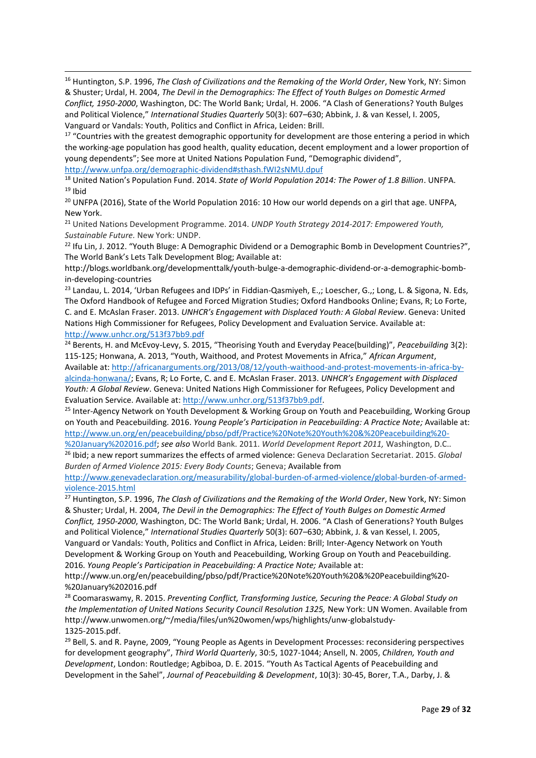<sup>16</sup> Huntington, S.P. 1996, *The Clash of Civilizations and the Remaking of the World Order*, New York, NY: Simon & Shuster; Urdal, H. 2004, *The Devil in the Demographics: The Effect of Youth Bulges on Domestic Armed Conflict, 1950-2000*, Washington, DC: The World Bank; Urdal, H. 2006. "A Clash of Generations? Youth Bulges and Political Violence," *International Studies Quarterly* 50(3): 607–630; Abbink, J. & van Kessel, I. 2005, Vanguard or Vandals: Youth, Politics and Conflict in Africa, Leiden: Brill.

**-**

<sup>17</sup> "Countries with the greatest demographic opportunity for development are those entering a period in which the working-age population has good health, quality education, decent employment and a lower proportion of young dependents"; See more at United Nations Population Fund, "Demographic dividend", <http://www.unfpa.org/demographic-dividend#sthash.fWI2sNMU.dpuf>

<sup>18</sup> United Nation's Population Fund. 2014. *State of World Population 2014: The Power of 1.8 Billion*. UNFPA.  $19$  Ibid

<sup>20</sup> UNFPA (2016), State of the World Population 2016: 10 How our world depends on a girl that age. UNFPA, New York.

<sup>21</sup> United Nations Development Programme. 2014. *UNDP Youth Strategy 2014-2017: Empowered Youth, Sustainable Future.* New York: UNDP.

<sup>22</sup> Ifu Lin, J. 2012. "Youth Bluge: A Demographic Dividend or a Demographic Bomb in Development Countries?", The World Bank's Lets Talk Development Blog; Available at:

http://blogs.worldbank.org/developmenttalk/youth-bulge-a-demographic-dividend-or-a-demographic-bombin-developing-countries

<sup>23</sup> Landau, L. 2014, 'Urban Refugees and IDPs' in Fiddian-Qasmiyeh, E.,; Loescher, G.,; Long, L. & Sigona, N. Eds, The Oxford Handbook of Refugee and Forced Migration Studies; Oxford Handbooks Online; Evans, R; Lo Forte, C. and E. McAslan Fraser. 2013. *UNHCR's Engagement with Displaced Youth: A Global Review*. Geneva: United Nations High Commissioner for Refugees, Policy Development and Evaluation Service. Available at: <http://www.unhcr.org/513f37bb9.pdf>

<sup>24</sup> Berents, H. and McEvoy-Levy, S. 2015, "Theorising Youth and Everyday Peace(building)", *Peacebuilding* 3(2): 115-125; Honwana, A. 2013, "Youth, Waithood, and Protest Movements in Africa," *African Argument*, Available at: [http://africanarguments.org/2013/08/12/youth-waithood-and-protest-movements-in-africa-by](http://africanarguments.org/2013/08/12/youth-waithood-and-protest-movements-in-africa-by-alcinda-honwana/)[alcinda-honwana/;](http://africanarguments.org/2013/08/12/youth-waithood-and-protest-movements-in-africa-by-alcinda-honwana/) Evans, R; Lo Forte, C. and E. McAslan Fraser. 2013. *UNHCR's Engagement with Displaced Youth: A Global Review*. Geneva: United Nations High Commissioner for Refugees, Policy Development and Evaluation Service. Available at: [http://www.unhcr.org/513f37bb9.pdf.](http://www.unhcr.org/513f37bb9.pdf)

<sup>25</sup> Inter-Agency Network on Youth Development & Working Group on Youth and Peacebuilding, Working Group on Youth and Peacebuilding. 2016. *Young People's Participation in Peacebuilding: A Practice Note;* Available at: [http://www.un.org/en/peacebuilding/pbso/pdf/Practice%20Note%20Youth%20&%20Peacebuilding%20-](http://www.un.org/en/peacebuilding/pbso/pdf/Practice%20Note%20Youth%20&%20Peacebuilding%20-%20January%202016.pdf)

[%20January%202016.pdf;](http://www.un.org/en/peacebuilding/pbso/pdf/Practice%20Note%20Youth%20&%20Peacebuilding%20-%20January%202016.pdf) *see also* World Bank. 2011. *World Development Report 2011,* Washington, D.C.. <sup>26</sup> Ibid; a new report summarizes the effects of armed violence: Geneva Declaration Secretariat. 2015. *Global Burden of Armed Violence 2015: Every Body Counts*; Geneva; Available from

[http://www.genevadeclaration.org/measurability/global-burden-of-armed-violence/global-burden-of-armed](http://www.genevadeclaration.org/measurability/global-burden-of-armed-violence/global-burden-of-armed-violence-2015.html)[violence-2015.html](http://www.genevadeclaration.org/measurability/global-burden-of-armed-violence/global-burden-of-armed-violence-2015.html)

<sup>27</sup> Huntington, S.P. 1996, *The Clash of Civilizations and the Remaking of the World Order*, New York, NY: Simon & Shuster; Urdal, H. 2004, *The Devil in the Demographics: The Effect of Youth Bulges on Domestic Armed Conflict, 1950-2000*, Washington, DC: The World Bank; Urdal, H. 2006. "A Clash of Generations? Youth Bulges and Political Violence," *International Studies Quarterly* 50(3): 607–630; Abbink, J. & van Kessel, I. 2005, Vanguard or Vandals: Youth, Politics and Conflict in Africa, Leiden: Brill; Inter-Agency Network on Youth Development & Working Group on Youth and Peacebuilding, Working Group on Youth and Peacebuilding. 2016. *Young People's Participation in Peacebuilding: A Practice Note;* Available at:

http://www.un.org/en/peacebuilding/pbso/pdf/Practice%20Note%20Youth%20&%20Peacebuilding%20- %20January%202016.pdf

<sup>28</sup> Coomaraswamy, R. 2015. *Preventing Conflict, Transforming Justice, Securing the Peace: A Global Study on the Implementation of United Nations Security Council Resolution 1325,* New York: UN Women. Available from http://www.unwomen.org/~/media/files/un%20women/wps/highlights/unw-globalstudy-1325-2015.pdf.

<sup>29</sup> Bell, S. and R. Payne, 2009, "Young People as Agents in Development Processes: reconsidering perspectives for development geography", *Third World Quarterly*, 30:5, 1027-1044; Ansell, N. 2005, *Children, Youth and Development*, London: Routledge; Agbiboa, D. E. 2015. "Youth As Tactical Agents of Peacebuilding and Development in the Sahel", *Journal of Peacebuilding & Development*, 10(3): 30-45, Borer, T.A., Darby, J. &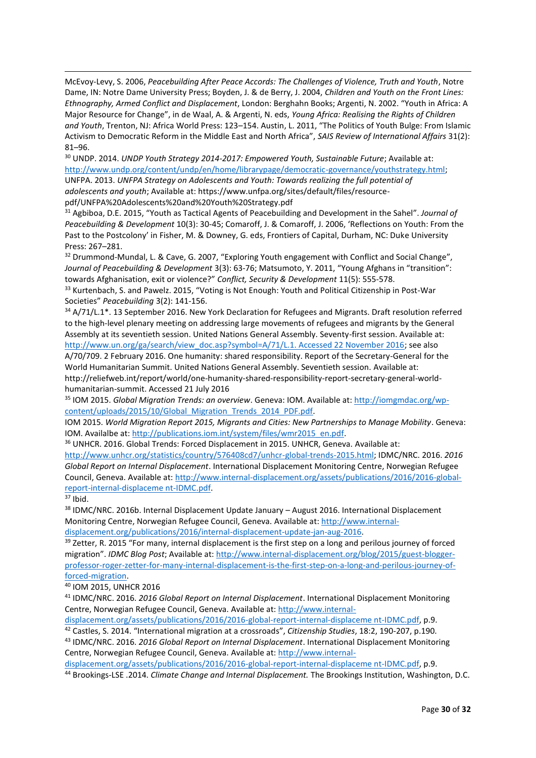McEvoy-Levy, S. 2006, *Peacebuilding After Peace Accords: The Challenges of Violence, Truth and Youth*, Notre Dame, IN: Notre Dame University Press; Boyden, J. & de Berry, J. 2004, *Children and Youth on the Front Lines: Ethnography, Armed Conflict and Displacement*, London: Berghahn Books; Argenti, N. 2002. "Youth in Africa: A Major Resource for Change", in de Waal, A. & Argenti, N. eds, *Young Africa: Realising the Rights of Children and Youth*, Trenton, NJ: Africa World Press: 123–154. Austin, L. 2011, "The Politics of Youth Bulge: From Islamic Activism to Democratic Reform in the Middle East and North Africa", *SAIS Review of International Affairs* 31(2): 81–96.

<sup>30</sup> UNDP. 2014. *UNDP Youth Strategy 2014-2017: Empowered Youth, Sustainable Future; Available at:* [http://www.undp.org/content/undp/en/home/librarypage/democratic-governance/youthstrategy.html;](http://www.undp.org/content/undp/en/home/librarypage/democratic-governance/youthstrategy.html) UNFPA. 2013. *UNFPA Strategy on Adolescents and Youth: Towards realizing the full potential of*

*adolescents and youth*; Available at: https://www.unfpa.org/sites/default/files/resourcepdf/UNFPA%20Adolescents%20and%20Youth%20Strategy.pdf

<sup>31</sup> Agbiboa, D.E. 2015, "Youth as Tactical Agents of Peacebuilding and Development in the Sahel". *Journal of Peacebuilding & Development* 10(3): 30-45; Comaroff, J. & Comaroff, J. 2006, 'Reflections on Youth: From the Past to the Postcolony' in Fisher, M. & Downey, G. eds, Frontiers of Capital, Durham, NC: Duke University Press: 267–281.

<sup>32</sup> Drummond-Mundal, L. & Cave, G. 2007, "Exploring Youth engagement with Conflict and Social Change", *Journal of Peacebuilding & Development* 3(3): 63-76; Matsumoto, Y. 2011, "Young Afghans in "transition": towards Afghanisation, exit or violence?" *Conflict, Security & Development* 11(5): 555-578.

33 Kurtenbach, S. and Pawelz. 2015, "Voting is Not Enough: Youth and Political Citizenship in Post-War Societies" *Peacebuilding* 3(2): 141-156.

34 A/71/L.1\*. 13 September 2016. New York Declaration for Refugees and Migrants. Draft resolution referred to the high-level plenary meeting on addressing large movements of refugees and migrants by the General Assembly at its seventieth session. United Nations General Assembly. Seventy-first session. Available at:

[http://www.un.org/ga/search/view\\_doc.asp?symbol=A/71/L.1. Accessed 22 November 2016;](http://www.un.org/ga/search/view_doc.asp?symbol=A/71/L.1.%20Accessed%2022%20November%202016) see also A/70/709. 2 February 2016. One humanity: shared responsibility. Report of the Secretary-General for the World Humanitarian Summit. United Nations General Assembly. Seventieth session. Available at: http://reliefweb.int/report/world/one-humanity-shared-responsibility-report-secretary-general-worldhumanitarian-summit. Accessed 21 July 2016

<sup>35</sup> IOM 2015. *Global Migration Trends: an overview*. Geneva: IOM. Available at[: http://iomgmdac.org/wp](http://iomgmdac.org/wp-content/uploads/2015/10/Global_Migration_Trends_2014_PDF.pdf)[content/uploads/2015/10/Global\\_Migration\\_Trends\\_2014\\_PDF.pdf.](http://iomgmdac.org/wp-content/uploads/2015/10/Global_Migration_Trends_2014_PDF.pdf)

IOM 2015. *World Migration Report 2015, Migrants and Cities: New Partnerships to Manage Mobility*. Geneva: IOM. Availalbe at: [http://publications.iom.int/system/files/wmr2015\\_en.pdf.](http://publications.iom.int/system/files/wmr2015_en.pdf) 

<sup>36</sup> UNHCR. 2016. Global Trends: Forced Displacement in 2015. UNHCR, Geneva. Available at:

[http://www.unhcr.org/statistics/country/576408cd7/unhcr-global-trends-2015.html;](http://www.unhcr.org/statistics/country/576408cd7/unhcr-global-trends-2015.html) IDMC/NRC. 2016. *2016 Global Report on Internal Displacement*. International Displacement Monitoring Centre, Norwegian Refugee Council, Geneva. Available at[: http://www.internal-displacement.org/assets/publications/2016/2016-global](http://www.internal-displacement.org/assets/publications/2016/2016-global-report-internal-displaceme%20nt-IDMC.pdf)[report-internal-displaceme nt-IDMC.pdf.](http://www.internal-displacement.org/assets/publications/2016/2016-global-report-internal-displaceme%20nt-IDMC.pdf)

<sup>37</sup> Ibid.

**-**

<sup>38</sup> IDMC/NRC. 2016b. Internal Displacement Update January – August 2016. International Displacement Monitoring Centre, Norwegian Refugee Council, Geneva. Available at: [http://www.internal](http://www.internal-displacement.org/publications/2016/internal-displacement-update-jan-aug-2016)[displacement.org/publications/2016/internal-displacement-update-jan-aug-2016.](http://www.internal-displacement.org/publications/2016/internal-displacement-update-jan-aug-2016)

<sup>39</sup> Zetter, R. 2015 "For many, internal displacement is the first step on a long and perilous journey of forced migration". *IDMC Blog Post*; Available at: [http://www.internal-displacement.org/blog/2015/guest-blogger](http://www.internal-displacement.org/blog/2015/guest-blogger-professor-roger-zetter-for-many-internal-displacement-is-the-first-step-on-a-long-and-perilous-journey-of-forced-migration)[professor-roger-zetter-for-many-internal-displacement-is-the-first-step-on-a-long-and-perilous-journey-of](http://www.internal-displacement.org/blog/2015/guest-blogger-professor-roger-zetter-for-many-internal-displacement-is-the-first-step-on-a-long-and-perilous-journey-of-forced-migration)[forced-migration.](http://www.internal-displacement.org/blog/2015/guest-blogger-professor-roger-zetter-for-many-internal-displacement-is-the-first-step-on-a-long-and-perilous-journey-of-forced-migration)

<sup>40</sup> IOM 2015, UNHCR 2016

<sup>41</sup> IDMC/NRC. 2016. *2016 Global Report on Internal Displacement*. International Displacement Monitoring Centre, Norwegian Refugee Council, Geneva. Available at: [http://www.internal-](http://www.internal-displacement.org/assets/publications/2016/2016-global-report-internal-displaceme%20nt-IDMC.pdf)

[displacement.org/assets/publications/2016/2016-global-report-internal-displaceme nt-IDMC.pdf,](http://www.internal-displacement.org/assets/publications/2016/2016-global-report-internal-displaceme%20nt-IDMC.pdf) p.9.

<sup>42</sup> Castles, S. 2014. "International migration at a crossroads", *Citizenship Studies*, 18:2, 190-207, p.190.

<sup>43</sup> IDMC/NRC. 2016. *2016 Global Report on Internal Displacement*. International Displacement Monitoring Centre, Norwegian Refugee Council, Geneva. Available at: [http://www.internal-](http://www.internal-displacement.org/assets/publications/2016/2016-global-report-internal-displaceme%20nt-IDMC.pdf)

[displacement.org/assets/publications/2016/2016-global-report-internal-displaceme nt-IDMC.pdf,](http://www.internal-displacement.org/assets/publications/2016/2016-global-report-internal-displaceme%20nt-IDMC.pdf) p.9. <sup>44</sup> Brookings-LSE .2014. *Climate Change and Internal Displacement.* The Brookings Institution, Washington, D.C.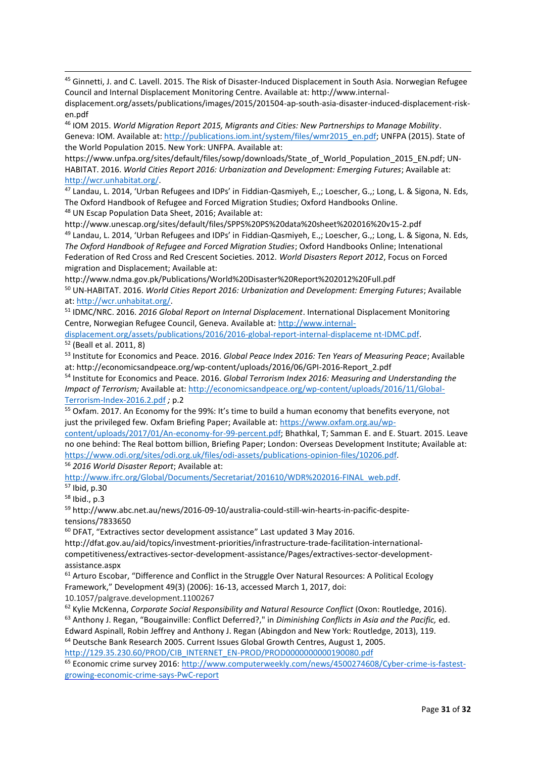<sup>45</sup> Ginnetti, J. and C. Lavell. 2015. The Risk of Disaster-Induced Displacement in South Asia. Norwegian Refugee Council and Internal Displacement Monitoring Centre. Available at: http://www.internal-

displacement.org/assets/publications/images/2015/201504-ap-south-asia-disaster-induced-displacement-risken.pdf

<sup>46</sup> IOM 2015. *World Migration Report 2015, Migrants and Cities: New Partnerships to Manage Mobility*. Geneva: IOM. Available at[: http://publications.iom.int/system/files/wmr2015\\_en.pdf;](http://publications.iom.int/system/files/wmr2015_en.pdf) UNFPA (2015). State of the World Population 2015. New York: UNFPA. Available at:

https://www.unfpa.org/sites/default/files/sowp/downloads/State\_of\_World\_Population\_2015\_EN.pdf; UN-HABITAT. 2016. *World Cities Report 2016: Urbanization and Development: Emerging Futures*; Available at: [http://wcr.unhabitat.org/.](http://wcr.unhabitat.org/) 

<sup>47</sup> Landau, L. 2014, 'Urban Refugees and IDPs' in Fiddian-Qasmiyeh, E.,; Loescher, G.,; Long, L. & Sigona, N. Eds, The Oxford Handbook of Refugee and Forced Migration Studies; Oxford Handbooks Online. <sup>48</sup> UN Escap Population Data Sheet, 2016; Available at:

http://www.unescap.org/sites/default/files/SPPS%20PS%20data%20sheet%202016%20v15-2.pdf <sup>49</sup> Landau, L. 2014, 'Urban Refugees and IDPs' in Fiddian-Qasmiyeh, E.,; Loescher, G.,; Long, L. & Sigona, N. Eds, *The Oxford Handbook of Refugee and Forced Migration Studies*; Oxford Handbooks Online; Intenational Federation of Red Cross and Red Crescent Societies. 2012. *World Disasters Report 2012*, Focus on Forced migration and Displacement; Available at:

http://www.ndma.gov.pk/Publications/World%20Disaster%20Report%202012%20Full.pdf <sup>50</sup> UN-HABITAT. 2016. *World Cities Report 2016: Urbanization and Development: Emerging Futures*; Available at: [http://wcr.unhabitat.org/.](http://wcr.unhabitat.org/)

<sup>51</sup> IDMC/NRC. 2016. *2016 Global Report on Internal Displacement*. International Displacement Monitoring Centre, Norwegian Refugee Council, Geneva. Available at: [http://www.internal-](http://www.internal-displacement.org/assets/publications/2016/2016-global-report-internal-displaceme%20nt-IDMC.pdf)

[displacement.org/assets/publications/2016/2016-global-report-internal-displaceme nt-IDMC.pdf.](http://www.internal-displacement.org/assets/publications/2016/2016-global-report-internal-displaceme%20nt-IDMC.pdf) <sup>52</sup> (Beall et al. 2011, 8)

<sup>53</sup> Institute for Economics and Peace. 2016. *Global Peace Index 2016: Ten Years of Measuring Peace*; Available at: http://economicsandpeace.org/wp-content/uploads/2016/06/GPI-2016-Report\_2.pdf

<sup>54</sup> Institute for Economics and Peace. 2016. *Global Terrorism Index 2016: Measuring and Understanding the Impact of Terrorism;* Available at: [http://economicsandpeace.org/wp-content/uploads/2016/11/Global-](http://economicsandpeace.org/wp-content/uploads/2016/11/Global-Terrorism-Index-2016.2.pdf)[Terrorism-Index-2016.2.pdf](http://economicsandpeace.org/wp-content/uploads/2016/11/Global-Terrorism-Index-2016.2.pdf) *;* p.2

<sup>55</sup> Oxfam. 2017. An Economy for the 99%: It's time to build a human economy that benefits everyone, not just the privileged few. Oxfam Briefing Paper; Available at: [https://www.oxfam.org.au/wp-](https://www.oxfam.org.au/wp-content/uploads/2017/01/An-economy-for-99-percent.pdf)

[content/uploads/2017/01/An-economy-for-99-percent.pdf;](https://www.oxfam.org.au/wp-content/uploads/2017/01/An-economy-for-99-percent.pdf) Bhathkal, T; Samman E. and E. Stuart. 2015. Leave no one behind: The Real bottom billion, Briefing Paper; London: Overseas Development Institute; Available at: [https://www.odi.org/sites/odi.org.uk/files/odi-assets/publications-opinion-files/10206.pdf.](https://www.odi.org/sites/odi.org.uk/files/odi-assets/publications-opinion-files/10206.pdf)

<sup>56</sup> *2016 World Disaster Report*; Available at:

[http://www.ifrc.org/Global/Documents/Secretariat/201610/WDR%202016-FINAL\\_web.pdf.](http://www.ifrc.org/Global/Documents/Secretariat/201610/WDR%202016-FINAL_web.pdf)

<sup>57</sup> Ibid, p.30

**-**

<sup>58</sup> Ibid., p.3

<sup>59</sup> http://www.abc.net.au/news/2016-09-10/australia-could-still-win-hearts-in-pacific-despitetensions/7833650

<sup>60</sup> DFAT, "Extractives sector development assistance" Last updated 3 May 2016.

http://dfat.gov.au/aid/topics/investment-priorities/infrastructure-trade-facilitation-internationalcompetitiveness/extractives-sector-development-assistance/Pages/extractives-sector-developmentassistance.aspx

<sup>61</sup> Arturo Escobar, "Difference and Conflict in the Struggle Over Natural Resources: A Political Ecology Framework," Development 49(3) (2006): 16-13, accessed March 1, 2017, doi:

10.1057/palgrave.development.1100267

<sup>62</sup> Kylie McKenna, *Corporate Social Responsibility and Natural Resource Conflict* (Oxon: Routledge, 2016).

<sup>63</sup> Anthony J. Regan, "Bougainville: Conflict Deferred?," in *Diminishing Conflicts in Asia and the Pacific,* ed. Edward Aspinall, Robin Jeffrey and Anthony J. Regan (Abingdon and New York: Routledge, 2013), 119.

<sup>64</sup> Deutsche Bank Research 2005. Current Issues Global Growth Centres, August 1, 2005.

[http://129.35.230.60/PROD/CIB\\_INTERNET\\_EN-PROD/PROD0000000000190080.pdf](http://129.35.230.60/PROD/CIB_INTERNET_EN-PROD/PROD0000000000190080.pdf)

<sup>65</sup> Economic crime survey 2016: [http://www.computerweekly.com/news/4500274608/Cyber-crime-is-fastest](http://www.computerweekly.com/news/4500274608/Cyber-crime-is-fastest-growing-economic-crime-says-PwC-report)[growing-economic-crime-says-PwC-report](http://www.computerweekly.com/news/4500274608/Cyber-crime-is-fastest-growing-economic-crime-says-PwC-report)